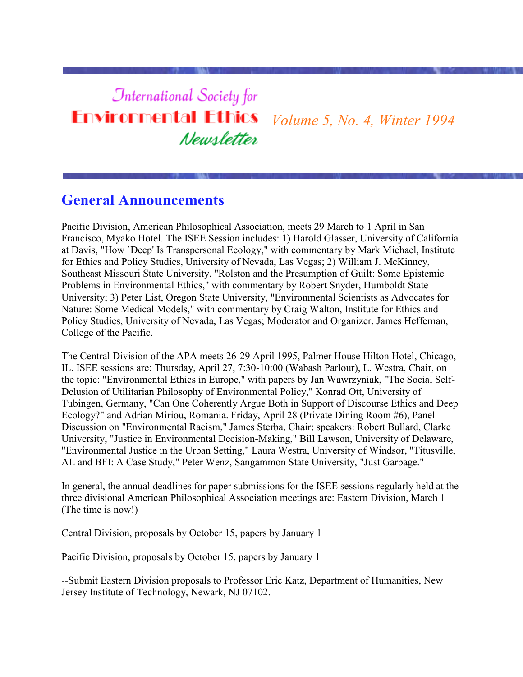#### **International Society for Environmental Ethics** *Volume 5, No. 4, Winter 1994* Newsletter

#### **General Announcements**

Pacific Division, American Philosophical Association, meets 29 March to 1 April in San Francisco, Myako Hotel. The ISEE Session includes: 1) Harold Glasser, University of California at Davis, "How `Deep' Is Transpersonal Ecology," with commentary by Mark Michael, Institute for Ethics and Policy Studies, University of Nevada, Las Vegas; 2) William J. McKinney, Southeast Missouri State University, "Rolston and the Presumption of Guilt: Some Epistemic Problems in Environmental Ethics," with commentary by Robert Snyder, Humboldt State University; 3) Peter List, Oregon State University, "Environmental Scientists as Advocates for Nature: Some Medical Models," with commentary by Craig Walton, Institute for Ethics and Policy Studies, University of Nevada, Las Vegas; Moderator and Organizer, James Heffernan, College of the Pacific.

The Central Division of the APA meets 26-29 April 1995, Palmer House Hilton Hotel, Chicago, IL. ISEE sessions are: Thursday, April 27, 7:30-10:00 (Wabash Parlour), L. Westra, Chair, on the topic: "Environmental Ethics in Europe," with papers by Jan Wawrzyniak, "The Social Self-Delusion of Utilitarian Philosophy of Environmental Policy," Konrad Ott, University of Tubingen, Germany, "Can One Coherently Argue Both in Support of Discourse Ethics and Deep Ecology?" and Adrian Miriou, Romania. Friday, April 28 (Private Dining Room #6), Panel Discussion on "Environmental Racism," James Sterba, Chair; speakers: Robert Bullard, Clarke University, "Justice in Environmental Decision-Making," Bill Lawson, University of Delaware, "Environmental Justice in the Urban Setting," Laura Westra, University of Windsor, "Titusville, AL and BFI: A Case Study," Peter Wenz, Sangammon State University, "Just Garbage."

In general, the annual deadlines for paper submissions for the ISEE sessions regularly held at the three divisional American Philosophical Association meetings are: Eastern Division, March 1 (The time is now!)

Central Division, proposals by October 15, papers by January 1

Pacific Division, proposals by October 15, papers by January 1

--Submit Eastern Division proposals to Professor Eric Katz, Department of Humanities, New Jersey Institute of Technology, Newark, NJ 07102.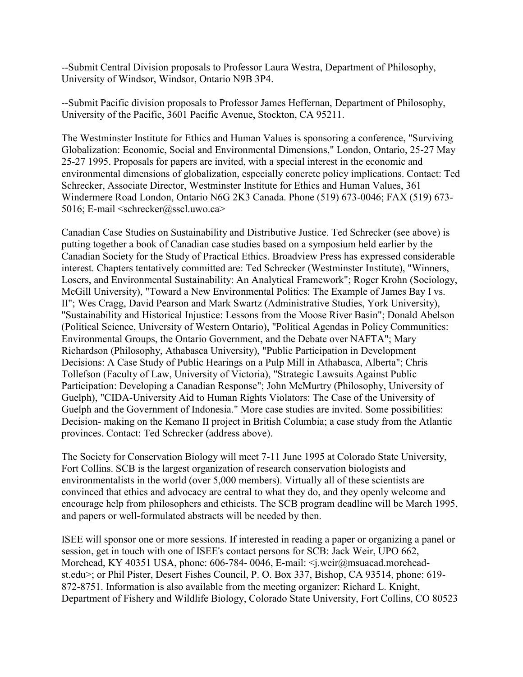--Submit Central Division proposals to Professor Laura Westra, Department of Philosophy, University of Windsor, Windsor, Ontario N9B 3P4.

--Submit Pacific division proposals to Professor James Heffernan, Department of Philosophy, University of the Pacific, 3601 Pacific Avenue, Stockton, CA 95211.

The Westminster Institute for Ethics and Human Values is sponsoring a conference, "Surviving Globalization: Economic, Social and Environmental Dimensions," London, Ontario, 25-27 May 25-27 1995. Proposals for papers are invited, with a special interest in the economic and environmental dimensions of globalization, especially concrete policy implications. Contact: Ted Schrecker, Associate Director, Westminster Institute for Ethics and Human Values, 361 Windermere Road London, Ontario N6G 2K3 Canada. Phone (519) 673-0046; FAX (519) 673- 5016; E-mail <schrecker@sscl.uwo.ca>

Canadian Case Studies on Sustainability and Distributive Justice. Ted Schrecker (see above) is putting together a book of Canadian case studies based on a symposium held earlier by the Canadian Society for the Study of Practical Ethics. Broadview Press has expressed considerable interest. Chapters tentatively committed are: Ted Schrecker (Westminster Institute), "Winners, Losers, and Environmental Sustainability: An Analytical Framework"; Roger Krohn (Sociology, McGill University), "Toward a New Environmental Politics: The Example of James Bay I vs. II"; Wes Cragg, David Pearson and Mark Swartz (Administrative Studies, York University), "Sustainability and Historical Injustice: Lessons from the Moose River Basin"; Donald Abelson (Political Science, University of Western Ontario), "Political Agendas in Policy Communities: Environmental Groups, the Ontario Government, and the Debate over NAFTA"; Mary Richardson (Philosophy, Athabasca University), "Public Participation in Development Decisions: A Case Study of Public Hearings on a Pulp Mill in Athabasca, Alberta"; Chris Tollefson (Faculty of Law, University of Victoria), "Strategic Lawsuits Against Public Participation: Developing a Canadian Response"; John McMurtry (Philosophy, University of Guelph), "CIDA-University Aid to Human Rights Violators: The Case of the University of Guelph and the Government of Indonesia." More case studies are invited. Some possibilities: Decision- making on the Kemano II project in British Columbia; a case study from the Atlantic provinces. Contact: Ted Schrecker (address above).

The Society for Conservation Biology will meet 7-11 June 1995 at Colorado State University, Fort Collins. SCB is the largest organization of research conservation biologists and environmentalists in the world (over 5,000 members). Virtually all of these scientists are convinced that ethics and advocacy are central to what they do, and they openly welcome and encourage help from philosophers and ethicists. The SCB program deadline will be March 1995, and papers or well-formulated abstracts will be needed by then.

ISEE will sponsor one or more sessions. If interested in reading a paper or organizing a panel or session, get in touch with one of ISEE's contact persons for SCB: Jack Weir, UPO 662, Morehead, KY 40351 USA, phone: 606-784-0046, E-mail: < j.weir@msuacad.moreheadst.edu>; or Phil Pister, Desert Fishes Council, P. O. Box 337, Bishop, CA 93514, phone: 619- 872-8751. Information is also available from the meeting organizer: Richard L. Knight, Department of Fishery and Wildlife Biology, Colorado State University, Fort Collins, CO 80523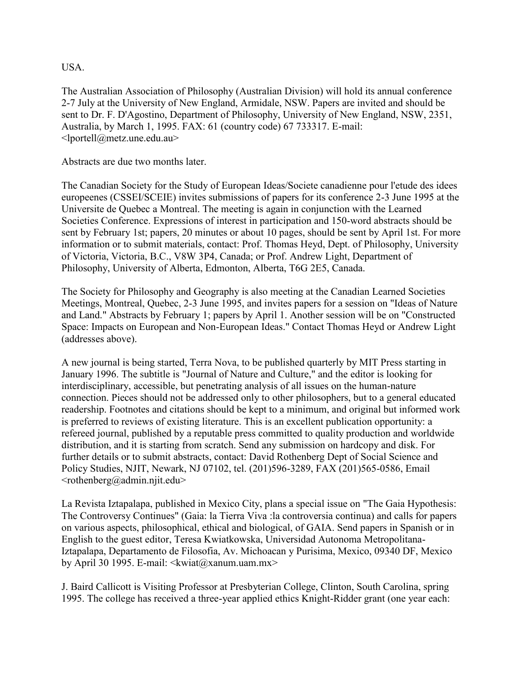USA.

The Australian Association of Philosophy (Australian Division) will hold its annual conference 2-7 July at the University of New England, Armidale, NSW. Papers are invited and should be sent to Dr. F. D'Agostino, Department of Philosophy, University of New England, NSW, 2351, Australia, by March 1, 1995. FAX: 61 (country code) 67 733317. E-mail: <lportell@metz.une.edu.au>

Abstracts are due two months later.

The Canadian Society for the Study of European Ideas/Societe canadienne pour l'etude des idees europeenes (CSSEI/SCEIE) invites submissions of papers for its conference 2-3 June 1995 at the Universite de Quebec a Montreal. The meeting is again in conjunction with the Learned Societies Conference. Expressions of interest in participation and 150-word abstracts should be sent by February 1st; papers, 20 minutes or about 10 pages, should be sent by April 1st. For more information or to submit materials, contact: Prof. Thomas Heyd, Dept. of Philosophy, University of Victoria, Victoria, B.C., V8W 3P4, Canada; or Prof. Andrew Light, Department of Philosophy, University of Alberta, Edmonton, Alberta, T6G 2E5, Canada.

The Society for Philosophy and Geography is also meeting at the Canadian Learned Societies Meetings, Montreal, Quebec, 2-3 June 1995, and invites papers for a session on "Ideas of Nature and Land." Abstracts by February 1; papers by April 1. Another session will be on "Constructed Space: Impacts on European and Non-European Ideas." Contact Thomas Heyd or Andrew Light (addresses above).

A new journal is being started, Terra Nova, to be published quarterly by MIT Press starting in January 1996. The subtitle is "Journal of Nature and Culture," and the editor is looking for interdisciplinary, accessible, but penetrating analysis of all issues on the human-nature connection. Pieces should not be addressed only to other philosophers, but to a general educated readership. Footnotes and citations should be kept to a minimum, and original but informed work is preferred to reviews of existing literature. This is an excellent publication opportunity: a refereed journal, published by a reputable press committed to quality production and worldwide distribution, and it is starting from scratch. Send any submission on hardcopy and disk. For further details or to submit abstracts, contact: David Rothenberg Dept of Social Science and Policy Studies, NJIT, Newark, NJ 07102, tel. (201)596-3289, FAX (201)565-0586, Email  $\leq$ rothenberg@admin.njit.edu>

La Revista Iztapalapa, published in Mexico City, plans a special issue on "The Gaia Hypothesis: The Controversy Continues" (Gaia: la Tierra Viva :la controversia continua) and calls for papers on various aspects, philosophical, ethical and biological, of GAIA. Send papers in Spanish or in English to the guest editor, Teresa Kwiatkowska, Universidad Autonoma Metropolitana-Iztapalapa, Departamento de Filosofia, Av. Michoacan y Purisima, Mexico, 09340 DF, Mexico by April 30 1995. E-mail:  $\langle$ kwiat $\omega$ xanum.uam.mx>

J. Baird Callicott is Visiting Professor at Presbyterian College, Clinton, South Carolina, spring 1995. The college has received a three-year applied ethics Knight-Ridder grant (one year each: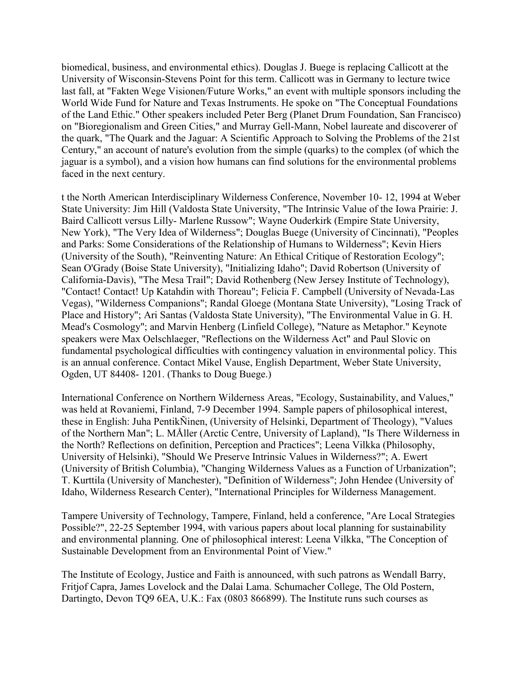biomedical, business, and environmental ethics). Douglas J. Buege is replacing Callicott at the University of Wisconsin-Stevens Point for this term. Callicott was in Germany to lecture twice last fall, at "Fakten Wege Visionen/Future Works," an event with multiple sponsors including the World Wide Fund for Nature and Texas Instruments. He spoke on "The Conceptual Foundations of the Land Ethic." Other speakers included Peter Berg (Planet Drum Foundation, San Francisco) on "Bioregionalism and Green Cities," and Murray Gell-Mann, Nobel laureate and discoverer of the quark, "The Quark and the Jaguar: A Scientific Approach to Solving the Problems of the 21st Century," an account of nature's evolution from the simple (quarks) to the complex (of which the jaguar is a symbol), and a vision how humans can find solutions for the environmental problems faced in the next century.

t the North American Interdisciplinary Wilderness Conference, November 10- 12, 1994 at Weber State University: Jim Hill (Valdosta State University, "The Intrinsic Value of the Iowa Prairie: J. Baird Callicott versus Lilly- Marlene Russow"; Wayne Ouderkirk (Empire State University, New York), "The Very Idea of Wilderness"; Douglas Buege (University of Cincinnati), "Peoples and Parks: Some Considerations of the Relationship of Humans to Wilderness"; Kevin Hiers (University of the South), "Reinventing Nature: An Ethical Critique of Restoration Ecology"; Sean O'Grady (Boise State University), "Initializing Idaho"; David Robertson (University of California-Davis), "The Mesa Trail"; David Rothenberg (New Jersey Institute of Technology), "Contact! Contact! Up Katahdin with Thoreau"; Felicia F. Campbell (University of Nevada-Las Vegas), "Wilderness Companions"; Randal Gloege (Montana State University), "Losing Track of Place and History"; Ari Santas (Valdosta State University), "The Environmental Value in G. H. Mead's Cosmology"; and Marvin Henberg (Linfield College), "Nature as Metaphor." Keynote speakers were Max Oelschlaeger, "Reflections on the Wilderness Act" and Paul Slovic on fundamental psychological difficulties with contingency valuation in environmental policy. This is an annual conference. Contact Mikel Vause, English Department, Weber State University, Ogden, UT 84408- 1201. (Thanks to Doug Buege.)

International Conference on Northern Wilderness Areas, "Ecology, Sustainability, and Values," was held at Rovaniemi, Finland, 7-9 December 1994. Sample papers of philosophical interest, these in English: Juha PentikÑinen, (University of Helsinki, Department of Theology), "Values of the Northern Man"; L. MÅller (Arctic Centre, University of Lapland), "Is There Wilderness in the North? Reflections on definition, Perception and Practices"; Leena Vilkka (Philosophy, University of Helsinki), "Should We Preserve Intrinsic Values in Wilderness?"; A. Ewert (University of British Columbia), "Changing Wilderness Values as a Function of Urbanization"; T. Kurttila (University of Manchester), "Definition of Wilderness"; John Hendee (University of Idaho, Wilderness Research Center), "International Principles for Wilderness Management.

Tampere University of Technology, Tampere, Finland, held a conference, "Are Local Strategies Possible?", 22-25 September 1994, with various papers about local planning for sustainability and environmental planning. One of philosophical interest: Leena Vilkka, "The Conception of Sustainable Development from an Environmental Point of View."

The Institute of Ecology, Justice and Faith is announced, with such patrons as Wendall Barry, Fritjof Capra, James Lovelock and the Dalai Lama. Schumacher College, The Old Postern, Dartingto, Devon TQ9 6EA, U.K.: Fax (0803 866899). The Institute runs such courses as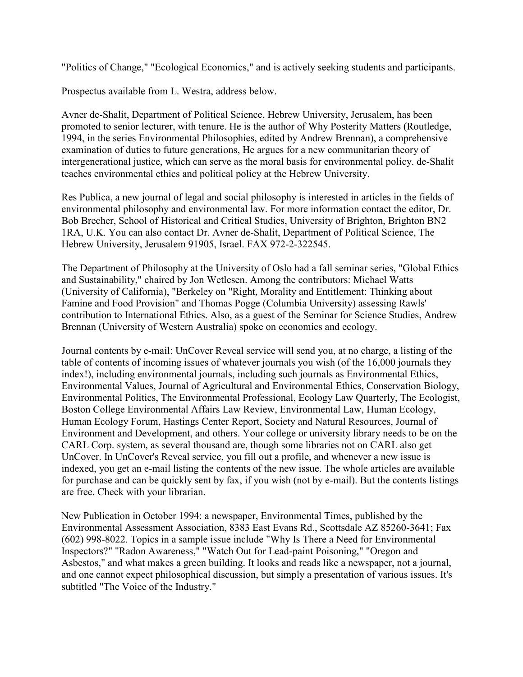"Politics of Change," "Ecological Economics," and is actively seeking students and participants.

Prospectus available from L. Westra, address below.

Avner de-Shalit, Department of Political Science, Hebrew University, Jerusalem, has been promoted to senior lecturer, with tenure. He is the author of Why Posterity Matters (Routledge, 1994, in the series Environmental Philosophies, edited by Andrew Brennan), a comprehensive examination of duties to future generations, He argues for a new communitarian theory of intergenerational justice, which can serve as the moral basis for environmental policy. de-Shalit teaches environmental ethics and political policy at the Hebrew University.

Res Publica, a new journal of legal and social philosophy is interested in articles in the fields of environmental philosophy and environmental law. For more information contact the editor, Dr. Bob Brecher, School of Historical and Critical Studies, University of Brighton, Brighton BN2 1RA, U.K. You can also contact Dr. Avner de-Shalit, Department of Political Science, The Hebrew University, Jerusalem 91905, Israel. FAX 972-2-322545.

The Department of Philosophy at the University of Oslo had a fall seminar series, "Global Ethics and Sustainability," chaired by Jon Wetlesen. Among the contributors: Michael Watts (University of California), "Berkeley on "Right, Morality and Entitlement: Thinking about Famine and Food Provision" and Thomas Pogge (Columbia University) assessing Rawls' contribution to International Ethics. Also, as a guest of the Seminar for Science Studies, Andrew Brennan (University of Western Australia) spoke on economics and ecology.

Journal contents by e-mail: UnCover Reveal service will send you, at no charge, a listing of the table of contents of incoming issues of whatever journals you wish (of the 16,000 journals they index!), including environmental journals, including such journals as Environmental Ethics, Environmental Values, Journal of Agricultural and Environmental Ethics, Conservation Biology, Environmental Politics, The Environmental Professional, Ecology Law Quarterly, The Ecologist, Boston College Environmental Affairs Law Review, Environmental Law, Human Ecology, Human Ecology Forum, Hastings Center Report, Society and Natural Resources, Journal of Environment and Development, and others. Your college or university library needs to be on the CARL Corp. system, as several thousand are, though some libraries not on CARL also get UnCover. In UnCover's Reveal service, you fill out a profile, and whenever a new issue is indexed, you get an e-mail listing the contents of the new issue. The whole articles are available for purchase and can be quickly sent by fax, if you wish (not by e-mail). But the contents listings are free. Check with your librarian.

New Publication in October 1994: a newspaper, Environmental Times, published by the Environmental Assessment Association, 8383 East Evans Rd., Scottsdale AZ 85260-3641; Fax (602) 998-8022. Topics in a sample issue include "Why Is There a Need for Environmental Inspectors?" "Radon Awareness," "Watch Out for Lead-paint Poisoning," "Oregon and Asbestos," and what makes a green building. It looks and reads like a newspaper, not a journal, and one cannot expect philosophical discussion, but simply a presentation of various issues. It's subtitled "The Voice of the Industry."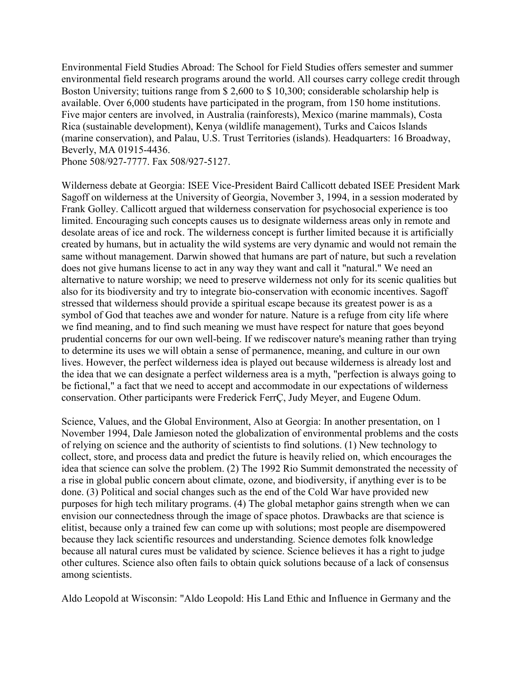Environmental Field Studies Abroad: The School for Field Studies offers semester and summer environmental field research programs around the world. All courses carry college credit through Boston University; tuitions range from \$ 2,600 to \$ 10,300; considerable scholarship help is available. Over 6,000 students have participated in the program, from 150 home institutions. Five major centers are involved, in Australia (rainforests), Mexico (marine mammals), Costa Rica (sustainable development), Kenya (wildlife management), Turks and Caicos Islands (marine conservation), and Palau, U.S. Trust Territories (islands). Headquarters: 16 Broadway, Beverly, MA 01915-4436.

Phone 508/927-7777. Fax 508/927-5127.

Wilderness debate at Georgia: ISEE Vice-President Baird Callicott debated ISEE President Mark Sagoff on wilderness at the University of Georgia, November 3, 1994, in a session moderated by Frank Golley. Callicott argued that wilderness conservation for psychosocial experience is too limited. Encouraging such concepts causes us to designate wilderness areas only in remote and desolate areas of ice and rock. The wilderness concept is further limited because it is artificially created by humans, but in actuality the wild systems are very dynamic and would not remain the same without management. Darwin showed that humans are part of nature, but such a revelation does not give humans license to act in any way they want and call it "natural." We need an alternative to nature worship; we need to preserve wilderness not only for its scenic qualities but also for its biodiversity and try to integrate bio-conservation with economic incentives. Sagoff stressed that wilderness should provide a spiritual escape because its greatest power is as a symbol of God that teaches awe and wonder for nature. Nature is a refuge from city life where we find meaning, and to find such meaning we must have respect for nature that goes beyond prudential concerns for our own well-being. If we rediscover nature's meaning rather than trying to determine its uses we will obtain a sense of permanence, meaning, and culture in our own lives. However, the perfect wilderness idea is played out because wilderness is already lost and the idea that we can designate a perfect wilderness area is a myth, "perfection is always going to be fictional," a fact that we need to accept and accommodate in our expectations of wilderness conservation. Other participants were Frederick FerrÇ, Judy Meyer, and Eugene Odum.

Science, Values, and the Global Environment, Also at Georgia: In another presentation, on 1 November 1994, Dale Jamieson noted the globalization of environmental problems and the costs of relying on science and the authority of scientists to find solutions. (1) New technology to collect, store, and process data and predict the future is heavily relied on, which encourages the idea that science can solve the problem. (2) The 1992 Rio Summit demonstrated the necessity of a rise in global public concern about climate, ozone, and biodiversity, if anything ever is to be done. (3) Political and social changes such as the end of the Cold War have provided new purposes for high tech military programs. (4) The global metaphor gains strength when we can envision our connectedness through the image of space photos. Drawbacks are that science is elitist, because only a trained few can come up with solutions; most people are disempowered because they lack scientific resources and understanding. Science demotes folk knowledge because all natural cures must be validated by science. Science believes it has a right to judge other cultures. Science also often fails to obtain quick solutions because of a lack of consensus among scientists.

Aldo Leopold at Wisconsin: "Aldo Leopold: His Land Ethic and Influence in Germany and the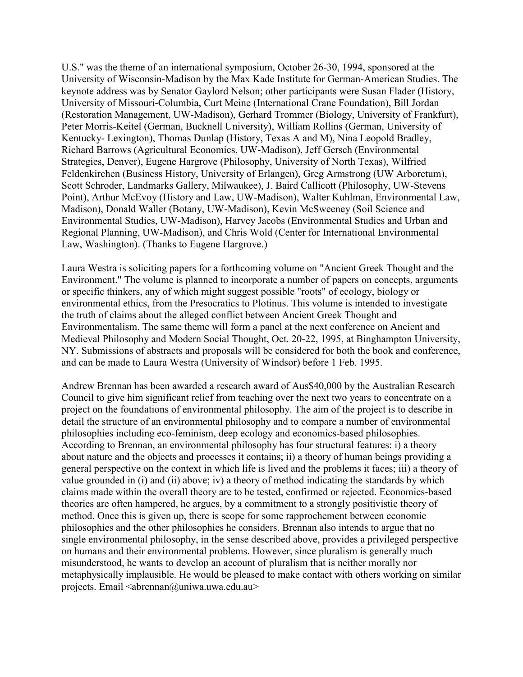U.S." was the theme of an international symposium, October 26-30, 1994, sponsored at the University of Wisconsin-Madison by the Max Kade Institute for German-American Studies. The keynote address was by Senator Gaylord Nelson; other participants were Susan Flader (History, University of Missouri-Columbia, Curt Meine (International Crane Foundation), Bill Jordan (Restoration Management, UW-Madison), Gerhard Trommer (Biology, University of Frankfurt), Peter Morris-Keitel (German, Bucknell University), William Rollins (German, University of Kentucky- Lexington), Thomas Dunlap (History, Texas A and M), Nina Leopold Bradley, Richard Barrows (Agricultural Economics, UW-Madison), Jeff Gersch (Environmental Strategies, Denver), Eugene Hargrove (Philosophy, University of North Texas), Wilfried Feldenkirchen (Business History, University of Erlangen), Greg Armstrong (UW Arboretum), Scott Schroder, Landmarks Gallery, Milwaukee), J. Baird Callicott (Philosophy, UW-Stevens Point), Arthur McEvoy (History and Law, UW-Madison), Walter Kuhlman, Environmental Law, Madison), Donald Waller (Botany, UW-Madison), Kevin McSweeney (Soil Science and Environmental Studies, UW-Madison), Harvey Jacobs (Environmental Studies and Urban and Regional Planning, UW-Madison), and Chris Wold (Center for International Environmental Law, Washington). (Thanks to Eugene Hargrove.)

Laura Westra is soliciting papers for a forthcoming volume on "Ancient Greek Thought and the Environment." The volume is planned to incorporate a number of papers on concepts, arguments or specific thinkers, any of which might suggest possible "roots" of ecology, biology or environmental ethics, from the Presocratics to Plotinus. This volume is intended to investigate the truth of claims about the alleged conflict between Ancient Greek Thought and Environmentalism. The same theme will form a panel at the next conference on Ancient and Medieval Philosophy and Modern Social Thought, Oct. 20-22, 1995, at Binghampton University, NY. Submissions of abstracts and proposals will be considered for both the book and conference, and can be made to Laura Westra (University of Windsor) before 1 Feb. 1995.

Andrew Brennan has been awarded a research award of Aus\$40,000 by the Australian Research Council to give him significant relief from teaching over the next two years to concentrate on a project on the foundations of environmental philosophy. The aim of the project is to describe in detail the structure of an environmental philosophy and to compare a number of environmental philosophies including eco-feminism, deep ecology and economics-based philosophies. According to Brennan, an environmental philosophy has four structural features: i) a theory about nature and the objects and processes it contains; ii) a theory of human beings providing a general perspective on the context in which life is lived and the problems it faces; iii) a theory of value grounded in (i) and (ii) above; iv) a theory of method indicating the standards by which claims made within the overall theory are to be tested, confirmed or rejected. Economics-based theories are often hampered, he argues, by a commitment to a strongly positivistic theory of method. Once this is given up, there is scope for some rapprochement between economic philosophies and the other philosophies he considers. Brennan also intends to argue that no single environmental philosophy, in the sense described above, provides a privileged perspective on humans and their environmental problems. However, since pluralism is generally much misunderstood, he wants to develop an account of pluralism that is neither morally nor metaphysically implausible. He would be pleased to make contact with others working on similar projects. Email <abrennan@uniwa.uwa.edu.au>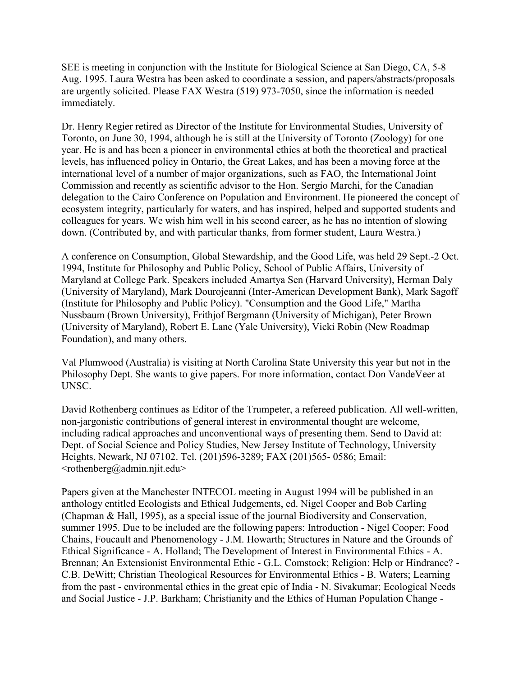SEE is meeting in conjunction with the Institute for Biological Science at San Diego, CA, 5-8 Aug. 1995. Laura Westra has been asked to coordinate a session, and papers/abstracts/proposals are urgently solicited. Please FAX Westra (519) 973-7050, since the information is needed immediately.

Dr. Henry Regier retired as Director of the Institute for Environmental Studies, University of Toronto, on June 30, 1994, although he is still at the University of Toronto (Zoology) for one year. He is and has been a pioneer in environmental ethics at both the theoretical and practical levels, has influenced policy in Ontario, the Great Lakes, and has been a moving force at the international level of a number of major organizations, such as FAO, the International Joint Commission and recently as scientific advisor to the Hon. Sergio Marchi, for the Canadian delegation to the Cairo Conference on Population and Environment. He pioneered the concept of ecosystem integrity, particularly for waters, and has inspired, helped and supported students and colleagues for years. We wish him well in his second career, as he has no intention of slowing down. (Contributed by, and with particular thanks, from former student, Laura Westra.)

A conference on Consumption, Global Stewardship, and the Good Life, was held 29 Sept.-2 Oct. 1994, Institute for Philosophy and Public Policy, School of Public Affairs, University of Maryland at College Park. Speakers included Amartya Sen (Harvard University), Herman Daly (University of Maryland), Mark Dourojeanni (Inter-American Development Bank), Mark Sagoff (Institute for Philosophy and Public Policy). "Consumption and the Good Life," Martha Nussbaum (Brown University), Frithjof Bergmann (University of Michigan), Peter Brown (University of Maryland), Robert E. Lane (Yale University), Vicki Robin (New Roadmap Foundation), and many others.

Val Plumwood (Australia) is visiting at North Carolina State University this year but not in the Philosophy Dept. She wants to give papers. For more information, contact Don VandeVeer at UNSC.

David Rothenberg continues as Editor of the Trumpeter, a refereed publication. All well-written, non-jargonistic contributions of general interest in environmental thought are welcome, including radical approaches and unconventional ways of presenting them. Send to David at: Dept. of Social Science and Policy Studies, New Jersey Institute of Technology, University Heights, Newark, NJ 07102. Tel. (201)596-3289; FAX (201)565- 0586; Email:  $<$ rothenberg@admin.njit.edu>

Papers given at the Manchester INTECOL meeting in August 1994 will be published in an anthology entitled Ecologists and Ethical Judgements, ed. Nigel Cooper and Bob Carling (Chapman & Hall, 1995), as a special issue of the journal Biodiversity and Conservation, summer 1995. Due to be included are the following papers: Introduction - Nigel Cooper; Food Chains, Foucault and Phenomenology - J.M. Howarth; Structures in Nature and the Grounds of Ethical Significance - A. Holland; The Development of Interest in Environmental Ethics - A. Brennan; An Extensionist Environmental Ethic - G.L. Comstock; Religion: Help or Hindrance? - C.B. DeWitt; Christian Theological Resources for Environmental Ethics - B. Waters; Learning from the past - environmental ethics in the great epic of India - N. Sivakumar; Ecological Needs and Social Justice - J.P. Barkham; Christianity and the Ethics of Human Population Change -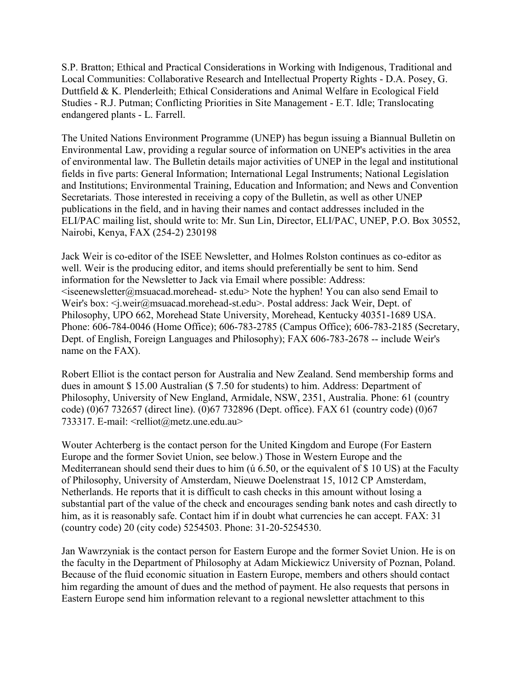S.P. Bratton; Ethical and Practical Considerations in Working with Indigenous, Traditional and Local Communities: Collaborative Research and Intellectual Property Rights - D.A. Posey, G. Duttfield & K. Plenderleith; Ethical Considerations and Animal Welfare in Ecological Field Studies - R.J. Putman; Conflicting Priorities in Site Management - E.T. Idle; Translocating endangered plants - L. Farrell.

The United Nations Environment Programme (UNEP) has begun issuing a Biannual Bulletin on Environmental Law, providing a regular source of information on UNEP's activities in the area of environmental law. The Bulletin details major activities of UNEP in the legal and institutional fields in five parts: General Information; International Legal Instruments; National Legislation and Institutions; Environmental Training, Education and Information; and News and Convention Secretariats. Those interested in receiving a copy of the Bulletin, as well as other UNEP publications in the field, and in having their names and contact addresses included in the ELI/PAC mailing list, should write to: Mr. Sun Lin, Director, ELI/PAC, UNEP, P.O. Box 30552, Nairobi, Kenya, FAX (254-2) 230198

Jack Weir is co-editor of the ISEE Newsletter, and Holmes Rolston continues as co-editor as well. Weir is the producing editor, and items should preferentially be sent to him. Send information for the Newsletter to Jack via Email where possible: Address:  $\leq$ iseenewsletter@msuacad.morehead- st.edu> Note the hyphen! You can also send Email to Weir's box: <j.weir@msuacad.morehead-st.edu>. Postal address: Jack Weir, Dept. of Philosophy, UPO 662, Morehead State University, Morehead, Kentucky 40351-1689 USA. Phone: 606-784-0046 (Home Office); 606-783-2785 (Campus Office); 606-783-2185 (Secretary, Dept. of English, Foreign Languages and Philosophy); FAX 606-783-2678 -- include Weir's name on the FAX).

Robert Elliot is the contact person for Australia and New Zealand. Send membership forms and dues in amount \$ 15.00 Australian (\$ 7.50 for students) to him. Address: Department of Philosophy, University of New England, Armidale, NSW, 2351, Australia. Phone: 61 (country code) (0)67 732657 (direct line). (0)67 732896 (Dept. office). FAX 61 (country code) (0)67 733317. E-mail: <relliot@metz.une.edu.au>

Wouter Achterberg is the contact person for the United Kingdom and Europe (For Eastern Europe and the former Soviet Union, see below.) Those in Western Europe and the Mediterranean should send their dues to him (*ú* 6.50, or the equivalent of \$ 10 US) at the Faculty of Philosophy, University of Amsterdam, Nieuwe Doelenstraat 15, 1012 CP Amsterdam, Netherlands. He reports that it is difficult to cash checks in this amount without losing a substantial part of the value of the check and encourages sending bank notes and cash directly to him, as it is reasonably safe. Contact him if in doubt what currencies he can accept. FAX: 31 (country code) 20 (city code) 5254503. Phone: 31-20-5254530.

Jan Wawrzyniak is the contact person for Eastern Europe and the former Soviet Union. He is on the faculty in the Department of Philosophy at Adam Mickiewicz University of Poznan, Poland. Because of the fluid economic situation in Eastern Europe, members and others should contact him regarding the amount of dues and the method of payment. He also requests that persons in Eastern Europe send him information relevant to a regional newsletter attachment to this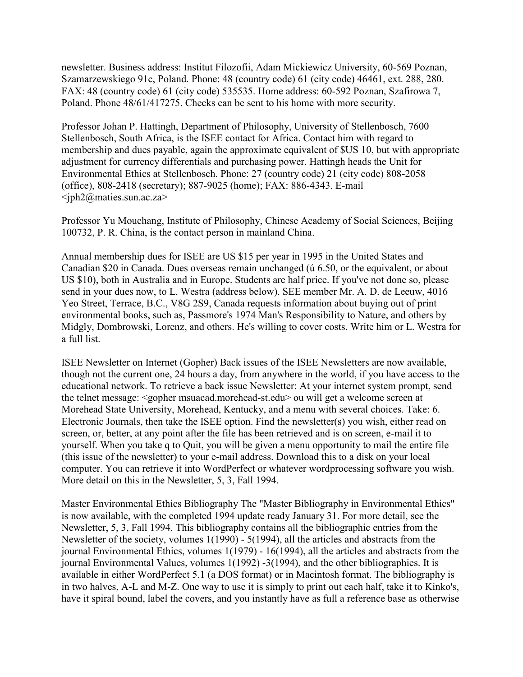newsletter. Business address: Institut Filozofii, Adam Mickiewicz University, 60-569 Poznan, Szamarzewskiego 91c, Poland. Phone: 48 (country code) 61 (city code) 46461, ext. 288, 280. FAX: 48 (country code) 61 (city code) 535535. Home address: 60-592 Poznan, Szafirowa 7, Poland. Phone 48/61/417275. Checks can be sent to his home with more security.

Professor Johan P. Hattingh, Department of Philosophy, University of Stellenbosch, 7600 Stellenbosch, South Africa, is the ISEE contact for Africa. Contact him with regard to membership and dues payable, again the approximate equivalent of \$US 10, but with appropriate adjustment for currency differentials and purchasing power. Hattingh heads the Unit for Environmental Ethics at Stellenbosch. Phone: 27 (country code) 21 (city code) 808-2058 (office), 808-2418 (secretary); 887-9025 (home); FAX: 886-4343. E-mail  $\langle \text{sph2@maties}$ .sun.ac.za>

Professor Yu Mouchang, Institute of Philosophy, Chinese Academy of Social Sciences, Beijing 100732, P. R. China, is the contact person in mainland China.

Annual membership dues for ISEE are US \$15 per year in 1995 in the United States and Canadian \$20 in Canada. Dues overseas remain unchanged (ú 6.50, or the equivalent, or about US \$10), both in Australia and in Europe. Students are half price. If you've not done so, please send in your dues now, to L. Westra (address below). SEE member Mr. A. D. de Leeuw, 4016 Yeo Street, Terrace, B.C., V8G 2S9, Canada requests information about buying out of print environmental books, such as, Passmore's 1974 Man's Responsibility to Nature, and others by Midgly, Dombrowski, Lorenz, and others. He's willing to cover costs. Write him or L. Westra for a full list.

ISEE Newsletter on Internet (Gopher) Back issues of the ISEE Newsletters are now available, though not the current one, 24 hours a day, from anywhere in the world, if you have access to the educational network. To retrieve a back issue Newsletter: At your internet system prompt, send the telnet message: <gopher msuacad.morehead-st.edu> ou will get a welcome screen at Morehead State University, Morehead, Kentucky, and a menu with several choices. Take: 6. Electronic Journals, then take the ISEE option. Find the newsletter(s) you wish, either read on screen, or, better, at any point after the file has been retrieved and is on screen, e-mail it to yourself. When you take q to Quit, you will be given a menu opportunity to mail the entire file (this issue of the newsletter) to your e-mail address. Download this to a disk on your local computer. You can retrieve it into WordPerfect or whatever wordprocessing software you wish. More detail on this in the Newsletter, 5, 3, Fall 1994.

Master Environmental Ethics Bibliography The "Master Bibliography in Environmental Ethics" is now available, with the completed 1994 update ready January 31. For more detail, see the Newsletter, 5, 3, Fall 1994. This bibliography contains all the bibliographic entries from the Newsletter of the society, volumes 1(1990) - 5(1994), all the articles and abstracts from the journal Environmental Ethics, volumes 1(1979) - 16(1994), all the articles and abstracts from the journal Environmental Values, volumes 1(1992) -3(1994), and the other bibliographies. It is available in either WordPerfect 5.1 (a DOS format) or in Macintosh format. The bibliography is in two halves, A-L and M-Z. One way to use it is simply to print out each half, take it to Kinko's, have it spiral bound, label the covers, and you instantly have as full a reference base as otherwise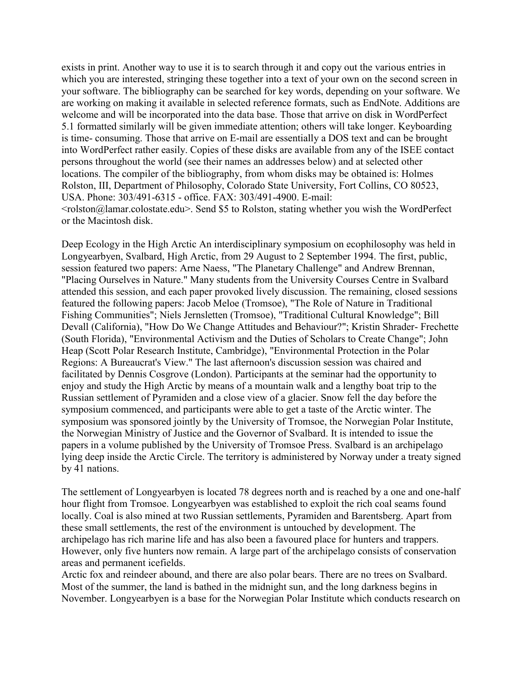exists in print. Another way to use it is to search through it and copy out the various entries in which you are interested, stringing these together into a text of your own on the second screen in your software. The bibliography can be searched for key words, depending on your software. We are working on making it available in selected reference formats, such as EndNote. Additions are welcome and will be incorporated into the data base. Those that arrive on disk in WordPerfect 5.1 formatted similarly will be given immediate attention; others will take longer. Keyboarding is time- consuming. Those that arrive on E-mail are essentially a DOS text and can be brought into WordPerfect rather easily. Copies of these disks are available from any of the ISEE contact persons throughout the world (see their names an addresses below) and at selected other locations. The compiler of the bibliography, from whom disks may be obtained is: Holmes Rolston, III, Department of Philosophy, Colorado State University, Fort Collins, CO 80523, USA. Phone: 303/491-6315 - office. FAX: 303/491-4900. E-mail:  $\leq$ rolston@lamar.colostate.edu>. Send \$5 to Rolston, stating whether you wish the WordPerfect or the Macintosh disk.

Deep Ecology in the High Arctic An interdisciplinary symposium on ecophilosophy was held in Longyearbyen, Svalbard, High Arctic, from 29 August to 2 September 1994. The first, public, session featured two papers: Arne Naess, "The Planetary Challenge" and Andrew Brennan, "Placing Ourselves in Nature." Many students from the University Courses Centre in Svalbard attended this session, and each paper provoked lively discussion. The remaining, closed sessions featured the following papers: Jacob Meloe (Tromsoe), "The Role of Nature in Traditional Fishing Communities"; Niels Jernsletten (Tromsoe), "Traditional Cultural Knowledge"; Bill Devall (California), "How Do We Change Attitudes and Behaviour?"; Kristin Shrader- Frechette (South Florida), "Environmental Activism and the Duties of Scholars to Create Change"; John Heap (Scott Polar Research Institute, Cambridge), "Environmental Protection in the Polar Regions: A Bureaucrat's View." The last afternoon's discussion session was chaired and facilitated by Dennis Cosgrove (London). Participants at the seminar had the opportunity to enjoy and study the High Arctic by means of a mountain walk and a lengthy boat trip to the Russian settlement of Pyramiden and a close view of a glacier. Snow fell the day before the symposium commenced, and participants were able to get a taste of the Arctic winter. The symposium was sponsored jointly by the University of Tromsoe, the Norwegian Polar Institute, the Norwegian Ministry of Justice and the Governor of Svalbard. It is intended to issue the papers in a volume published by the University of Tromsoe Press. Svalbard is an archipelago lying deep inside the Arctic Circle. The territory is administered by Norway under a treaty signed by 41 nations.

The settlement of Longyearbyen is located 78 degrees north and is reached by a one and one-half hour flight from Tromsoe. Longyearbyen was established to exploit the rich coal seams found locally. Coal is also mined at two Russian settlements, Pyramiden and Barentsberg. Apart from these small settlements, the rest of the environment is untouched by development. The archipelago has rich marine life and has also been a favoured place for hunters and trappers. However, only five hunters now remain. A large part of the archipelago consists of conservation areas and permanent icefields.

Arctic fox and reindeer abound, and there are also polar bears. There are no trees on Svalbard. Most of the summer, the land is bathed in the midnight sun, and the long darkness begins in November. Longyearbyen is a base for the Norwegian Polar Institute which conducts research on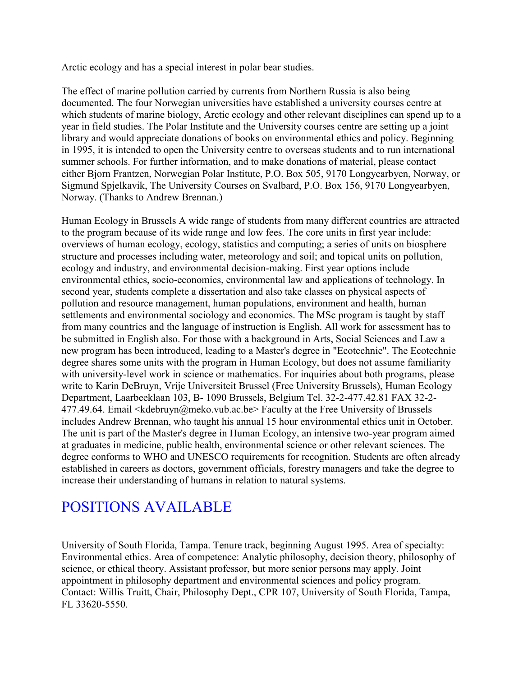Arctic ecology and has a special interest in polar bear studies.

The effect of marine pollution carried by currents from Northern Russia is also being documented. The four Norwegian universities have established a university courses centre at which students of marine biology, Arctic ecology and other relevant disciplines can spend up to a year in field studies. The Polar Institute and the University courses centre are setting up a joint library and would appreciate donations of books on environmental ethics and policy. Beginning in 1995, it is intended to open the University centre to overseas students and to run international summer schools. For further information, and to make donations of material, please contact either Bjorn Frantzen, Norwegian Polar Institute, P.O. Box 505, 9170 Longyearbyen, Norway, or Sigmund Spjelkavik, The University Courses on Svalbard, P.O. Box 156, 9170 Longyearbyen, Norway. (Thanks to Andrew Brennan.)

Human Ecology in Brussels A wide range of students from many different countries are attracted to the program because of its wide range and low fees. The core units in first year include: overviews of human ecology, ecology, statistics and computing; a series of units on biosphere structure and processes including water, meteorology and soil; and topical units on pollution, ecology and industry, and environmental decision-making. First year options include environmental ethics, socio-economics, environmental law and applications of technology. In second year, students complete a dissertation and also take classes on physical aspects of pollution and resource management, human populations, environment and health, human settlements and environmental sociology and economics. The MSc program is taught by staff from many countries and the language of instruction is English. All work for assessment has to be submitted in English also. For those with a background in Arts, Social Sciences and Law a new program has been introduced, leading to a Master's degree in "Ecotechnie". The Ecotechnie degree shares some units with the program in Human Ecology, but does not assume familiarity with university-level work in science or mathematics. For inquiries about both programs, please write to Karin DeBruyn, Vrije Universiteit Brussel (Free University Brussels), Human Ecology Department, Laarbeeklaan 103, B- 1090 Brussels, Belgium Tel. 32-2-477.42.81 FAX 32-2- 477.49.64. Email <kdebruyn@meko.vub.ac.be> Faculty at the Free University of Brussels includes Andrew Brennan, who taught his annual 15 hour environmental ethics unit in October. The unit is part of the Master's degree in Human Ecology, an intensive two-year program aimed at graduates in medicine, public health, environmental science or other relevant sciences. The degree conforms to WHO and UNESCO requirements for recognition. Students are often already established in careers as doctors, government officials, forestry managers and take the degree to increase their understanding of humans in relation to natural systems.

# POSITIONS AVAILABLE

University of South Florida, Tampa. Tenure track, beginning August 1995. Area of specialty: Environmental ethics. Area of competence: Analytic philosophy, decision theory, philosophy of science, or ethical theory. Assistant professor, but more senior persons may apply. Joint appointment in philosophy department and environmental sciences and policy program. Contact: Willis Truitt, Chair, Philosophy Dept., CPR 107, University of South Florida, Tampa, FL 33620-5550.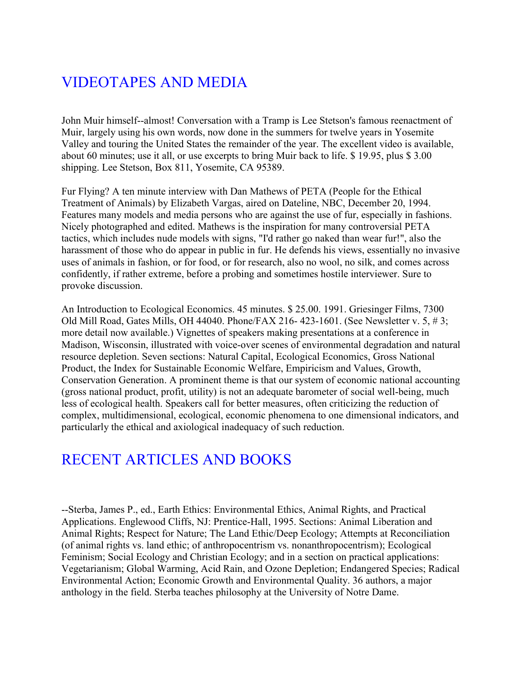# VIDEOTAPES AND MEDIA

John Muir himself--almost! Conversation with a Tramp is Lee Stetson's famous reenactment of Muir, largely using his own words, now done in the summers for twelve years in Yosemite Valley and touring the United States the remainder of the year. The excellent video is available, about 60 minutes; use it all, or use excerpts to bring Muir back to life. \$ 19.95, plus \$ 3.00 shipping. Lee Stetson, Box 811, Yosemite, CA 95389.

Fur Flying? A ten minute interview with Dan Mathews of PETA (People for the Ethical Treatment of Animals) by Elizabeth Vargas, aired on Dateline, NBC, December 20, 1994. Features many models and media persons who are against the use of fur, especially in fashions. Nicely photographed and edited. Mathews is the inspiration for many controversial PETA tactics, which includes nude models with signs, "I'd rather go naked than wear fur!", also the harassment of those who do appear in public in fur. He defends his views, essentially no invasive uses of animals in fashion, or for food, or for research, also no wool, no silk, and comes across confidently, if rather extreme, before a probing and sometimes hostile interviewer. Sure to provoke discussion.

An Introduction to Ecological Economics. 45 minutes. \$ 25.00. 1991. Griesinger Films, 7300 Old Mill Road, Gates Mills, OH 44040. Phone/FAX 216- 423-1601. (See Newsletter v. 5, # 3; more detail now available.) Vignettes of speakers making presentations at a conference in Madison, Wisconsin, illustrated with voice-over scenes of environmental degradation and natural resource depletion. Seven sections: Natural Capital, Ecological Economics, Gross National Product, the Index for Sustainable Economic Welfare, Empiricism and Values, Growth, Conservation Generation. A prominent theme is that our system of economic national accounting (gross national product, profit, utility) is not an adequate barometer of social well-being, much less of ecological health. Speakers call for better measures, often criticizing the reduction of complex, multidimensional, ecological, economic phenomena to one dimensional indicators, and particularly the ethical and axiological inadequacy of such reduction.

### RECENT ARTICLES AND BOOKS

--Sterba, James P., ed., Earth Ethics: Environmental Ethics, Animal Rights, and Practical Applications. Englewood Cliffs, NJ: Prentice-Hall, 1995. Sections: Animal Liberation and Animal Rights; Respect for Nature; The Land Ethic/Deep Ecology; Attempts at Reconciliation (of animal rights vs. land ethic; of anthropocentrism vs. nonanthropocentrism); Ecological Feminism; Social Ecology and Christian Ecology; and in a section on practical applications: Vegetarianism; Global Warming, Acid Rain, and Ozone Depletion; Endangered Species; Radical Environmental Action; Economic Growth and Environmental Quality. 36 authors, a major anthology in the field. Sterba teaches philosophy at the University of Notre Dame.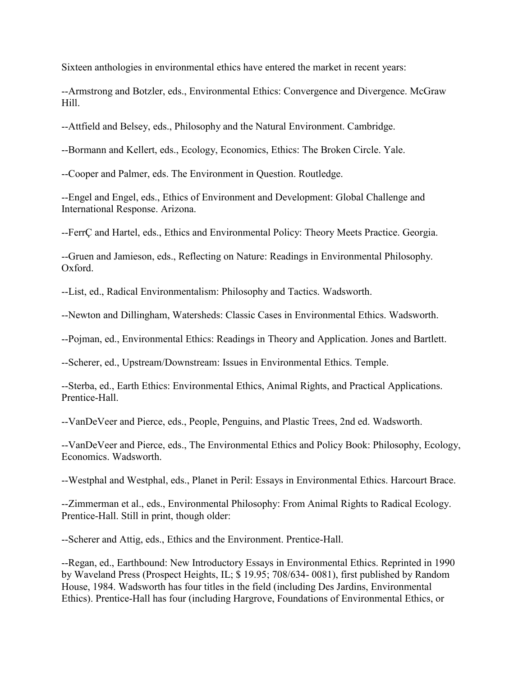Sixteen anthologies in environmental ethics have entered the market in recent years:

--Armstrong and Botzler, eds., Environmental Ethics: Convergence and Divergence. McGraw Hill.

--Attfield and Belsey, eds., Philosophy and the Natural Environment. Cambridge.

--Bormann and Kellert, eds., Ecology, Economics, Ethics: The Broken Circle. Yale.

--Cooper and Palmer, eds. The Environment in Question. Routledge.

--Engel and Engel, eds., Ethics of Environment and Development: Global Challenge and International Response. Arizona.

--FerrÇ and Hartel, eds., Ethics and Environmental Policy: Theory Meets Practice. Georgia.

--Gruen and Jamieson, eds., Reflecting on Nature: Readings in Environmental Philosophy. Oxford.

--List, ed., Radical Environmentalism: Philosophy and Tactics. Wadsworth.

--Newton and Dillingham, Watersheds: Classic Cases in Environmental Ethics. Wadsworth.

--Pojman, ed., Environmental Ethics: Readings in Theory and Application. Jones and Bartlett.

--Scherer, ed., Upstream/Downstream: Issues in Environmental Ethics. Temple.

--Sterba, ed., Earth Ethics: Environmental Ethics, Animal Rights, and Practical Applications. Prentice-Hall.

--VanDeVeer and Pierce, eds., People, Penguins, and Plastic Trees, 2nd ed. Wadsworth.

--VanDeVeer and Pierce, eds., The Environmental Ethics and Policy Book: Philosophy, Ecology, Economics. Wadsworth.

--Westphal and Westphal, eds., Planet in Peril: Essays in Environmental Ethics. Harcourt Brace.

--Zimmerman et al., eds., Environmental Philosophy: From Animal Rights to Radical Ecology. Prentice-Hall. Still in print, though older:

--Scherer and Attig, eds., Ethics and the Environment. Prentice-Hall.

--Regan, ed., Earthbound: New Introductory Essays in Environmental Ethics. Reprinted in 1990 by Waveland Press (Prospect Heights, IL; \$ 19.95; 708/634- 0081), first published by Random House, 1984. Wadsworth has four titles in the field (including Des Jardins, Environmental Ethics). Prentice-Hall has four (including Hargrove, Foundations of Environmental Ethics, or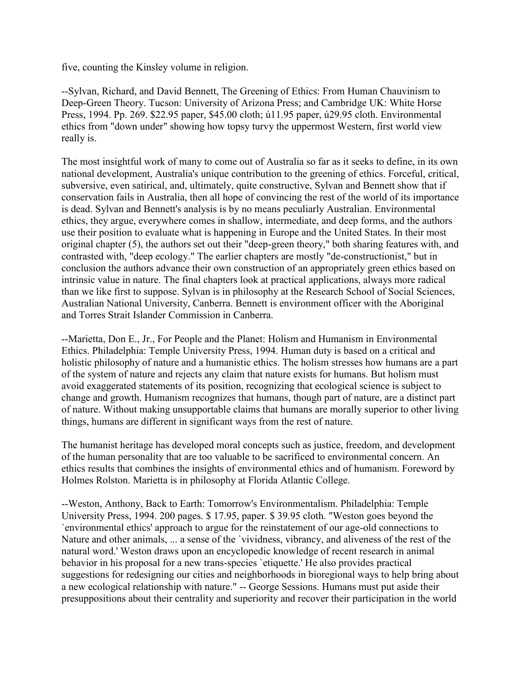five, counting the Kinsley volume in religion.

--Sylvan, Richard, and David Bennett, The Greening of Ethics: From Human Chauvinism to Deep-Green Theory. Tucson: University of Arizona Press; and Cambridge UK: White Horse Press, 1994. Pp. 269. \$22.95 paper, \$45.00 cloth; ú11.95 paper, ú29.95 cloth. Environmental ethics from "down under" showing how topsy turvy the uppermost Western, first world view really is.

The most insightful work of many to come out of Australia so far as it seeks to define, in its own national development, Australia's unique contribution to the greening of ethics. Forceful, critical, subversive, even satirical, and, ultimately, quite constructive, Sylvan and Bennett show that if conservation fails in Australia, then all hope of convincing the rest of the world of its importance is dead. Sylvan and Bennett's analysis is by no means peculiarly Australian. Environmental ethics, they argue, everywhere comes in shallow, intermediate, and deep forms, and the authors use their position to evaluate what is happening in Europe and the United States. In their most original chapter (5), the authors set out their "deep-green theory," both sharing features with, and contrasted with, "deep ecology." The earlier chapters are mostly "de-constructionist," but in conclusion the authors advance their own construction of an appropriately green ethics based on intrinsic value in nature. The final chapters look at practical applications, always more radical than we like first to suppose. Sylvan is in philosophy at the Research School of Social Sciences, Australian National University, Canberra. Bennett is environment officer with the Aboriginal and Torres Strait Islander Commission in Canberra.

--Marietta, Don E., Jr., For People and the Planet: Holism and Humanism in Environmental Ethics. Philadelphia: Temple University Press, 1994. Human duty is based on a critical and holistic philosophy of nature and a humanistic ethics. The holism stresses how humans are a part of the system of nature and rejects any claim that nature exists for humans. But holism must avoid exaggerated statements of its position, recognizing that ecological science is subject to change and growth. Humanism recognizes that humans, though part of nature, are a distinct part of nature. Without making unsupportable claims that humans are morally superior to other living things, humans are different in significant ways from the rest of nature.

The humanist heritage has developed moral concepts such as justice, freedom, and development of the human personality that are too valuable to be sacrificed to environmental concern. An ethics results that combines the insights of environmental ethics and of humanism. Foreword by Holmes Rolston. Marietta is in philosophy at Florida Atlantic College.

--Weston, Anthony, Back to Earth: Tomorrow's Environmentalism. Philadelphia: Temple University Press, 1994. 200 pages. \$ 17.95, paper. \$ 39.95 cloth. "Weston goes beyond the `environmental ethics' approach to argue for the reinstatement of our age-old connections to Nature and other animals, ... a sense of the `vividness, vibrancy, and aliveness of the rest of the natural word.' Weston draws upon an encyclopedic knowledge of recent research in animal behavior in his proposal for a new trans-species `etiquette.' He also provides practical suggestions for redesigning our cities and neighborhoods in bioregional ways to help bring about a new ecological relationship with nature." -- George Sessions. Humans must put aside their presuppositions about their centrality and superiority and recover their participation in the world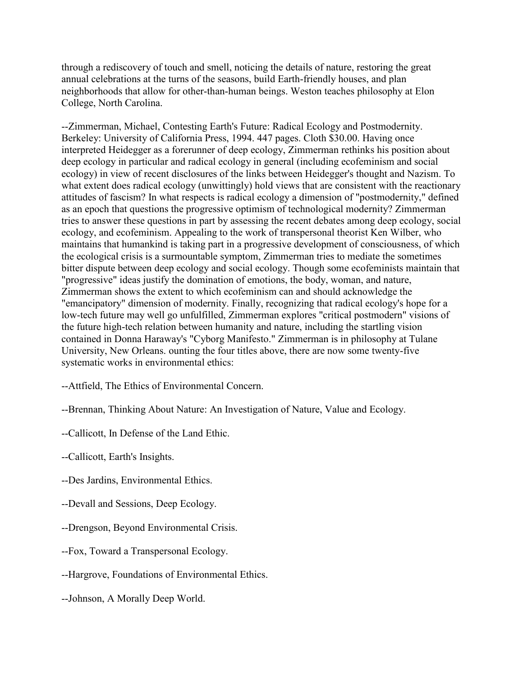through a rediscovery of touch and smell, noticing the details of nature, restoring the great annual celebrations at the turns of the seasons, build Earth-friendly houses, and plan neighborhoods that allow for other-than-human beings. Weston teaches philosophy at Elon College, North Carolina.

--Zimmerman, Michael, Contesting Earth's Future: Radical Ecology and Postmodernity. Berkeley: University of California Press, 1994. 447 pages. Cloth \$30.00. Having once interpreted Heidegger as a forerunner of deep ecology, Zimmerman rethinks his position about deep ecology in particular and radical ecology in general (including ecofeminism and social ecology) in view of recent disclosures of the links between Heidegger's thought and Nazism. To what extent does radical ecology (unwittingly) hold views that are consistent with the reactionary attitudes of fascism? In what respects is radical ecology a dimension of "postmodernity," defined as an epoch that questions the progressive optimism of technological modernity? Zimmerman tries to answer these questions in part by assessing the recent debates among deep ecology, social ecology, and ecofeminism. Appealing to the work of transpersonal theorist Ken Wilber, who maintains that humankind is taking part in a progressive development of consciousness, of which the ecological crisis is a surmountable symptom, Zimmerman tries to mediate the sometimes bitter dispute between deep ecology and social ecology. Though some ecofeminists maintain that "progressive" ideas justify the domination of emotions, the body, woman, and nature, Zimmerman shows the extent to which ecofeminism can and should acknowledge the "emancipatory" dimension of modernity. Finally, recognizing that radical ecology's hope for a low-tech future may well go unfulfilled, Zimmerman explores "critical postmodern" visions of the future high-tech relation between humanity and nature, including the startling vision contained in Donna Haraway's "Cyborg Manifesto." Zimmerman is in philosophy at Tulane University, New Orleans. ounting the four titles above, there are now some twenty-five systematic works in environmental ethics:

- --Attfield, The Ethics of Environmental Concern.
- --Brennan, Thinking About Nature: An Investigation of Nature, Value and Ecology.
- --Callicott, In Defense of the Land Ethic.
- --Callicott, Earth's Insights.
- --Des Jardins, Environmental Ethics.
- --Devall and Sessions, Deep Ecology.
- --Drengson, Beyond Environmental Crisis.
- --Fox, Toward a Transpersonal Ecology.
- --Hargrove, Foundations of Environmental Ethics.
- --Johnson, A Morally Deep World.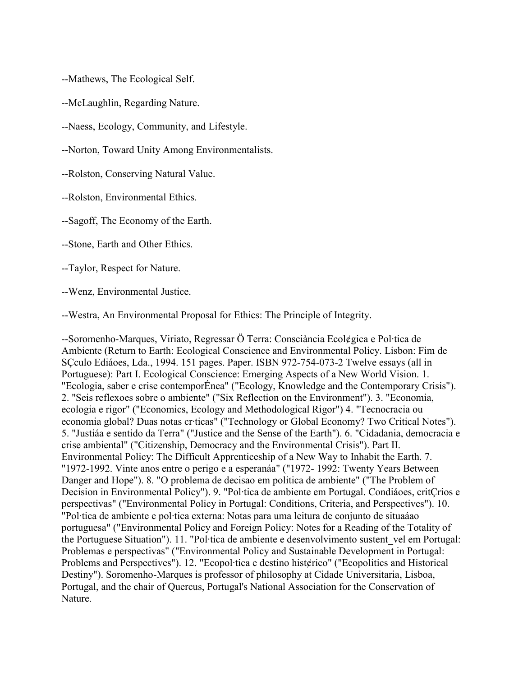--Mathews, The Ecological Self.

--McLaughlin, Regarding Nature.

--Naess, Ecology, Community, and Lifestyle.

--Norton, Toward Unity Among Environmentalists.

--Rolston, Conserving Natural Value.

--Rolston, Environmental Ethics.

--Sagoff, The Economy of the Earth.

--Stone, Earth and Other Ethics.

--Taylor, Respect for Nature.

--Wenz, Environmental Justice.

--Westra, An Environmental Proposal for Ethics: The Principle of Integrity.

--Soromenho-Marques, Viriato, Regressar Ö Terra: Consciància Ecol¢gica e Pol·tica de Ambiente (Return to Earth: Ecological Conscience and Environmental Policy. Lisbon: Fim de SÇculo Ediáoes, Lda., 1994. 151 pages. Paper. ISBN 972-754-073-2 Twelve essays (all in Portuguese): Part I. Ecological Conscience: Emerging Aspects of a New World Vision. 1. "Ecologia, saber e crise contemporÉnea" ("Ecology, Knowledge and the Contemporary Crisis"). 2. "Seis reflexoes sobre o ambiente" ("Six Reflection on the Environment"). 3. "Economia, ecologia e rigor" ("Economics, Ecology and Methodological Rigor") 4. "Tecnocracia ou economia global? Duas notas cr·ticas" ("Technology or Global Economy? Two Critical Notes"). 5. "Justiáa e sentido da Terra" ("Justice and the Sense of the Earth"). 6. "Cidadania, democracia e crise ambiental" ("Citizenship, Democracy and the Environmental Crisis"). Part II. Environmental Policy: The Difficult Apprenticeship of a New Way to Inhabit the Earth. 7. "1972-1992. Vinte anos entre o perigo e a esperanáa" ("1972- 1992: Twenty Years Between Danger and Hope"). 8. "O problema de decisao em politica de ambiente" ("The Problem of Decision in Environmental Policy"). 9. "Pol·tica de ambiente em Portugal. Condiáoes, critÇrios e perspectivas" ("Environmental Policy in Portugal: Conditions, Criteria, and Perspectives"). 10. "Pol·tica de ambiente e pol·tica externa: Notas para uma leitura de conjunto de situaáao portuguesa" ("Environmental Policy and Foreign Policy: Notes for a Reading of the Totality of the Portuguese Situation"). 11. "Pol·tica de ambiente e desenvolvimento sustent\_vel em Portugal: Problemas e perspectivas" ("Environmental Policy and Sustainable Development in Portugal: Problems and Perspectives"). 12. "Ecopol·tica e destino hist¢rico" ("Ecopolitics and Historical Destiny"). Soromenho-Marques is professor of philosophy at Cidade Universitaria, Lisboa, Portugal, and the chair of Quercus, Portugal's National Association for the Conservation of Nature.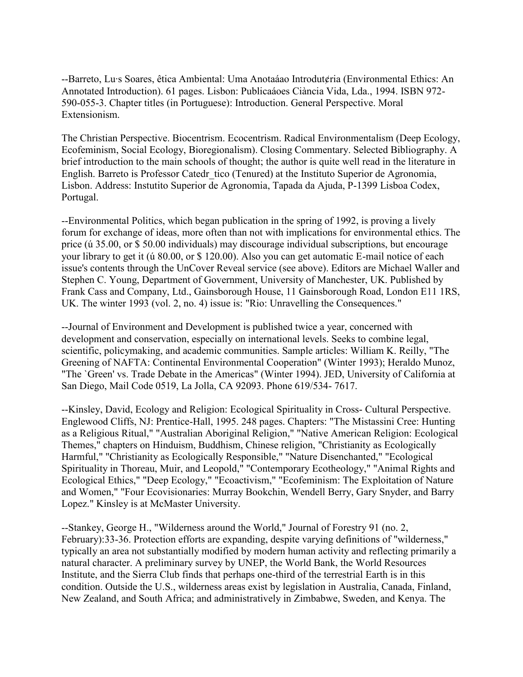--Barreto, Lu·s Soares, êtica Ambiental: Uma Anotaáao Introdut¢ria (Environmental Ethics: An Annotated Introduction). 61 pages. Lisbon: Publicaáoes Ciància Vida, Lda., 1994. ISBN 972- 590-055-3. Chapter titles (in Portuguese): Introduction. General Perspective. Moral Extensionism.

The Christian Perspective. Biocentrism. Ecocentrism. Radical Environmentalism (Deep Ecology, Ecofeminism, Social Ecology, Bioregionalism). Closing Commentary. Selected Bibliography. A brief introduction to the main schools of thought; the author is quite well read in the literature in English. Barreto is Professor Catedr\_tico (Tenured) at the Instituto Superior de Agronomia, Lisbon. Address: Instutito Superior de Agronomia, Tapada da Ajuda, P-1399 Lisboa Codex, Portugal.

--Environmental Politics, which began publication in the spring of 1992, is proving a lively forum for exchange of ideas, more often than not with implications for environmental ethics. The price (ú 35.00, or \$ 50.00 individuals) may discourage individual subscriptions, but encourage your library to get it (ú 80.00, or \$ 120.00). Also you can get automatic E-mail notice of each issue's contents through the UnCover Reveal service (see above). Editors are Michael Waller and Stephen C. Young, Department of Government, University of Manchester, UK. Published by Frank Cass and Company, Ltd., Gainsborough House, 11 Gainsborough Road, London E11 1RS, UK. The winter 1993 (vol. 2, no. 4) issue is: "Rio: Unravelling the Consequences."

--Journal of Environment and Development is published twice a year, concerned with development and conservation, especially on international levels. Seeks to combine legal, scientific, policymaking, and academic communities. Sample articles: William K. Reilly, "The Greening of NAFTA: Continental Environmental Cooperation" (Winter 1993); Heraldo Munoz, "The `Green' vs. Trade Debate in the Americas" (Winter 1994). JED, University of California at San Diego, Mail Code 0519, La Jolla, CA 92093. Phone 619/534- 7617.

--Kinsley, David, Ecology and Religion: Ecological Spirituality in Cross- Cultural Perspective. Englewood Cliffs, NJ: Prentice-Hall, 1995. 248 pages. Chapters: "The Mistassini Cree: Hunting as a Religious Ritual," "Australian Aboriginal Religion," "Native American Religion: Ecological Themes," chapters on Hinduism, Buddhism, Chinese religion, "Christianity as Ecologically Harmful," "Christianity as Ecologically Responsible," "Nature Disenchanted," "Ecological Spirituality in Thoreau, Muir, and Leopold," "Contemporary Ecotheology," "Animal Rights and Ecological Ethics," "Deep Ecology," "Ecoactivism," "Ecofeminism: The Exploitation of Nature and Women," "Four Ecovisionaries: Murray Bookchin, Wendell Berry, Gary Snyder, and Barry Lopez." Kinsley is at McMaster University.

--Stankey, George H., "Wilderness around the World," Journal of Forestry 91 (no. 2, February):33-36. Protection efforts are expanding, despite varying definitions of "wilderness," typically an area not substantially modified by modern human activity and reflecting primarily a natural character. A preliminary survey by UNEP, the World Bank, the World Resources Institute, and the Sierra Club finds that perhaps one-third of the terrestrial Earth is in this condition. Outside the U.S., wilderness areas exist by legislation in Australia, Canada, Finland, New Zealand, and South Africa; and administratively in Zimbabwe, Sweden, and Kenya. The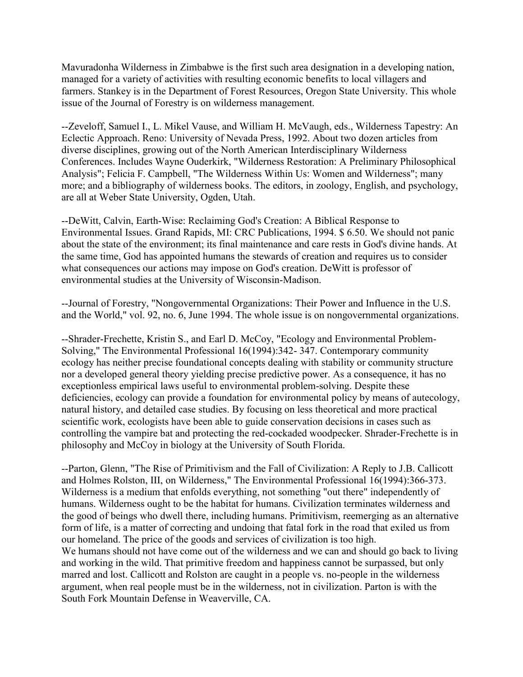Mavuradonha Wilderness in Zimbabwe is the first such area designation in a developing nation, managed for a variety of activities with resulting economic benefits to local villagers and farmers. Stankey is in the Department of Forest Resources, Oregon State University. This whole issue of the Journal of Forestry is on wilderness management.

--Zeveloff, Samuel I., L. Mikel Vause, and William H. McVaugh, eds., Wilderness Tapestry: An Eclectic Approach. Reno: University of Nevada Press, 1992. About two dozen articles from diverse disciplines, growing out of the North American Interdisciplinary Wilderness Conferences. Includes Wayne Ouderkirk, "Wilderness Restoration: A Preliminary Philosophical Analysis"; Felicia F. Campbell, "The Wilderness Within Us: Women and Wilderness"; many more; and a bibliography of wilderness books. The editors, in zoology, English, and psychology, are all at Weber State University, Ogden, Utah.

--DeWitt, Calvin, Earth-Wise: Reclaiming God's Creation: A Biblical Response to Environmental Issues. Grand Rapids, MI: CRC Publications, 1994. \$ 6.50. We should not panic about the state of the environment; its final maintenance and care rests in God's divine hands. At the same time, God has appointed humans the stewards of creation and requires us to consider what consequences our actions may impose on God's creation. DeWitt is professor of environmental studies at the University of Wisconsin-Madison.

--Journal of Forestry, "Nongovernmental Organizations: Their Power and Influence in the U.S. and the World," vol. 92, no. 6, June 1994. The whole issue is on nongovernmental organizations.

--Shrader-Frechette, Kristin S., and Earl D. McCoy, "Ecology and Environmental Problem-Solving," The Environmental Professional 16(1994):342- 347. Contemporary community ecology has neither precise foundational concepts dealing with stability or community structure nor a developed general theory yielding precise predictive power. As a consequence, it has no exceptionless empirical laws useful to environmental problem-solving. Despite these deficiencies, ecology can provide a foundation for environmental policy by means of autecology, natural history, and detailed case studies. By focusing on less theoretical and more practical scientific work, ecologists have been able to guide conservation decisions in cases such as controlling the vampire bat and protecting the red-cockaded woodpecker. Shrader-Frechette is in philosophy and McCoy in biology at the University of South Florida.

--Parton, Glenn, "The Rise of Primitivism and the Fall of Civilization: A Reply to J.B. Callicott and Holmes Rolston, III, on Wilderness," The Environmental Professional 16(1994):366-373. Wilderness is a medium that enfolds everything, not something "out there" independently of humans. Wilderness ought to be the habitat for humans. Civilization terminates wilderness and the good of beings who dwell there, including humans. Primitivism, reemerging as an alternative form of life, is a matter of correcting and undoing that fatal fork in the road that exiled us from our homeland. The price of the goods and services of civilization is too high. We humans should not have come out of the wilderness and we can and should go back to living and working in the wild. That primitive freedom and happiness cannot be surpassed, but only marred and lost. Callicott and Rolston are caught in a people vs. no-people in the wilderness argument, when real people must be in the wilderness, not in civilization. Parton is with the South Fork Mountain Defense in Weaverville, CA.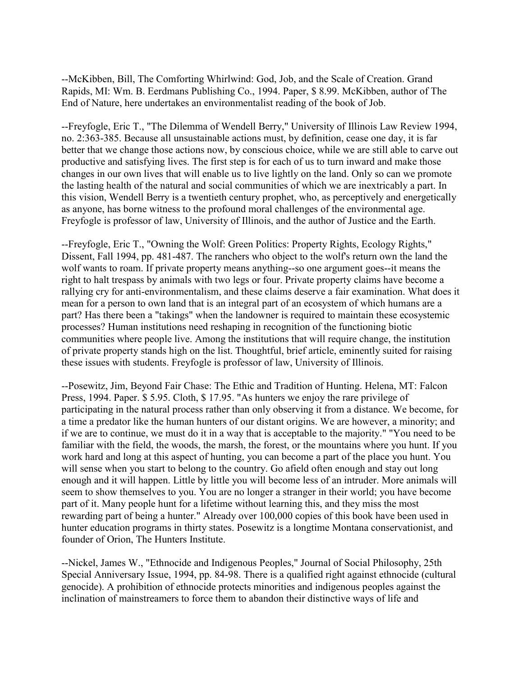--McKibben, Bill, The Comforting Whirlwind: God, Job, and the Scale of Creation. Grand Rapids, MI: Wm. B. Eerdmans Publishing Co., 1994. Paper, \$ 8.99. McKibben, author of The End of Nature, here undertakes an environmentalist reading of the book of Job.

--Freyfogle, Eric T., "The Dilemma of Wendell Berry," University of Illinois Law Review 1994, no. 2:363-385. Because all unsustainable actions must, by definition, cease one day, it is far better that we change those actions now, by conscious choice, while we are still able to carve out productive and satisfying lives. The first step is for each of us to turn inward and make those changes in our own lives that will enable us to live lightly on the land. Only so can we promote the lasting health of the natural and social communities of which we are inextricably a part. In this vision, Wendell Berry is a twentieth century prophet, who, as perceptively and energetically as anyone, has borne witness to the profound moral challenges of the environmental age. Freyfogle is professor of law, University of Illinois, and the author of Justice and the Earth.

--Freyfogle, Eric T., "Owning the Wolf: Green Politics: Property Rights, Ecology Rights," Dissent, Fall 1994, pp. 481-487. The ranchers who object to the wolf's return own the land the wolf wants to roam. If private property means anything--so one argument goes--it means the right to halt trespass by animals with two legs or four. Private property claims have become a rallying cry for anti-environmentalism, and these claims deserve a fair examination. What does it mean for a person to own land that is an integral part of an ecosystem of which humans are a part? Has there been a "takings" when the landowner is required to maintain these ecosystemic processes? Human institutions need reshaping in recognition of the functioning biotic communities where people live. Among the institutions that will require change, the institution of private property stands high on the list. Thoughtful, brief article, eminently suited for raising these issues with students. Freyfogle is professor of law, University of Illinois.

--Posewitz, Jim, Beyond Fair Chase: The Ethic and Tradition of Hunting. Helena, MT: Falcon Press, 1994. Paper. \$ 5.95. Cloth, \$ 17.95. "As hunters we enjoy the rare privilege of participating in the natural process rather than only observing it from a distance. We become, for a time a predator like the human hunters of our distant origins. We are however, a minority; and if we are to continue, we must do it in a way that is acceptable to the majority." "You need to be familiar with the field, the woods, the marsh, the forest, or the mountains where you hunt. If you work hard and long at this aspect of hunting, you can become a part of the place you hunt. You will sense when you start to belong to the country. Go afield often enough and stay out long enough and it will happen. Little by little you will become less of an intruder. More animals will seem to show themselves to you. You are no longer a stranger in their world; you have become part of it. Many people hunt for a lifetime without learning this, and they miss the most rewarding part of being a hunter." Already over 100,000 copies of this book have been used in hunter education programs in thirty states. Posewitz is a longtime Montana conservationist, and founder of Orion, The Hunters Institute.

--Nickel, James W., "Ethnocide and Indigenous Peoples," Journal of Social Philosophy, 25th Special Anniversary Issue, 1994, pp. 84-98. There is a qualified right against ethnocide (cultural genocide). A prohibition of ethnocide protects minorities and indigenous peoples against the inclination of mainstreamers to force them to abandon their distinctive ways of life and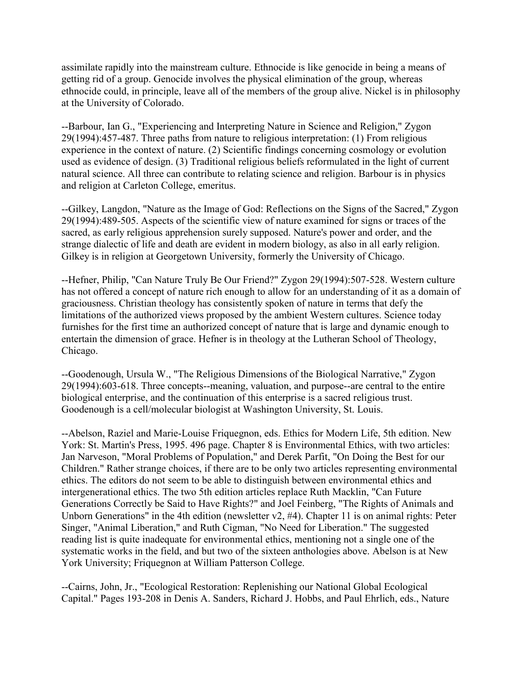assimilate rapidly into the mainstream culture. Ethnocide is like genocide in being a means of getting rid of a group. Genocide involves the physical elimination of the group, whereas ethnocide could, in principle, leave all of the members of the group alive. Nickel is in philosophy at the University of Colorado.

--Barbour, Ian G., "Experiencing and Interpreting Nature in Science and Religion," Zygon 29(1994):457-487. Three paths from nature to religious interpretation: (1) From religious experience in the context of nature. (2) Scientific findings concerning cosmology or evolution used as evidence of design. (3) Traditional religious beliefs reformulated in the light of current natural science. All three can contribute to relating science and religion. Barbour is in physics and religion at Carleton College, emeritus.

--Gilkey, Langdon, "Nature as the Image of God: Reflections on the Signs of the Sacred," Zygon 29(1994):489-505. Aspects of the scientific view of nature examined for signs or traces of the sacred, as early religious apprehension surely supposed. Nature's power and order, and the strange dialectic of life and death are evident in modern biology, as also in all early religion. Gilkey is in religion at Georgetown University, formerly the University of Chicago.

--Hefner, Philip, "Can Nature Truly Be Our Friend?" Zygon 29(1994):507-528. Western culture has not offered a concept of nature rich enough to allow for an understanding of it as a domain of graciousness. Christian theology has consistently spoken of nature in terms that defy the limitations of the authorized views proposed by the ambient Western cultures. Science today furnishes for the first time an authorized concept of nature that is large and dynamic enough to entertain the dimension of grace. Hefner is in theology at the Lutheran School of Theology, Chicago.

--Goodenough, Ursula W., "The Religious Dimensions of the Biological Narrative," Zygon 29(1994):603-618. Three concepts--meaning, valuation, and purpose--are central to the entire biological enterprise, and the continuation of this enterprise is a sacred religious trust. Goodenough is a cell/molecular biologist at Washington University, St. Louis.

--Abelson, Raziel and Marie-Louise Friquegnon, eds. Ethics for Modern Life, 5th edition. New York: St. Martin's Press, 1995. 496 page. Chapter 8 is Environmental Ethics, with two articles: Jan Narveson, "Moral Problems of Population," and Derek Parfit, "On Doing the Best for our Children." Rather strange choices, if there are to be only two articles representing environmental ethics. The editors do not seem to be able to distinguish between environmental ethics and intergenerational ethics. The two 5th edition articles replace Ruth Macklin, "Can Future Generations Correctly be Said to Have Rights?" and Joel Feinberg, "The Rights of Animals and Unborn Generations" in the 4th edition (newsletter v2, #4). Chapter 11 is on animal rights: Peter Singer, "Animal Liberation," and Ruth Cigman, "No Need for Liberation." The suggested reading list is quite inadequate for environmental ethics, mentioning not a single one of the systematic works in the field, and but two of the sixteen anthologies above. Abelson is at New York University; Friquegnon at William Patterson College.

--Cairns, John, Jr., "Ecological Restoration: Replenishing our National Global Ecological Capital." Pages 193-208 in Denis A. Sanders, Richard J. Hobbs, and Paul Ehrlich, eds., Nature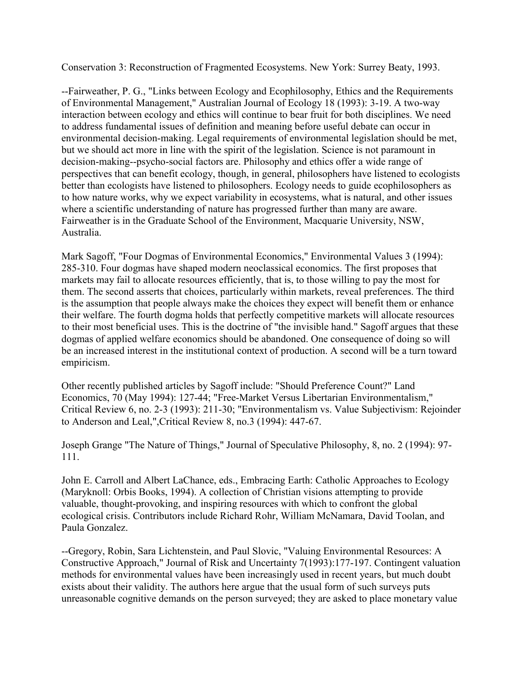Conservation 3: Reconstruction of Fragmented Ecosystems. New York: Surrey Beaty, 1993.

--Fairweather, P. G., "Links between Ecology and Ecophilosophy, Ethics and the Requirements of Environmental Management," Australian Journal of Ecology 18 (1993): 3-19. A two-way interaction between ecology and ethics will continue to bear fruit for both disciplines. We need to address fundamental issues of definition and meaning before useful debate can occur in environmental decision-making. Legal requirements of environmental legislation should be met, but we should act more in line with the spirit of the legislation. Science is not paramount in decision-making--psycho-social factors are. Philosophy and ethics offer a wide range of perspectives that can benefit ecology, though, in general, philosophers have listened to ecologists better than ecologists have listened to philosophers. Ecology needs to guide ecophilosophers as to how nature works, why we expect variability in ecosystems, what is natural, and other issues where a scientific understanding of nature has progressed further than many are aware. Fairweather is in the Graduate School of the Environment, Macquarie University, NSW, Australia.

Mark Sagoff, "Four Dogmas of Environmental Economics," Environmental Values 3 (1994): 285-310. Four dogmas have shaped modern neoclassical economics. The first proposes that markets may fail to allocate resources efficiently, that is, to those willing to pay the most for them. The second asserts that choices, particularly within markets, reveal preferences. The third is the assumption that people always make the choices they expect will benefit them or enhance their welfare. The fourth dogma holds that perfectly competitive markets will allocate resources to their most beneficial uses. This is the doctrine of "the invisible hand." Sagoff argues that these dogmas of applied welfare economics should be abandoned. One consequence of doing so will be an increased interest in the institutional context of production. A second will be a turn toward empiricism.

Other recently published articles by Sagoff include: "Should Preference Count?" Land Economics, 70 (May 1994): 127-44; "Free-Market Versus Libertarian Environmentalism," Critical Review 6, no. 2-3 (1993): 211-30; "Environmentalism vs. Value Subjectivism: Rejoinder to Anderson and Leal,",Critical Review 8, no.3 (1994): 447-67.

Joseph Grange "The Nature of Things," Journal of Speculative Philosophy, 8, no. 2 (1994): 97- 111.

John E. Carroll and Albert LaChance, eds., Embracing Earth: Catholic Approaches to Ecology (Maryknoll: Orbis Books, 1994). A collection of Christian visions attempting to provide valuable, thought-provoking, and inspiring resources with which to confront the global ecological crisis. Contributors include Richard Rohr, William McNamara, David Toolan, and Paula Gonzalez.

--Gregory, Robin, Sara Lichtenstein, and Paul Slovic, "Valuing Environmental Resources: A Constructive Approach," Journal of Risk and Uncertainty 7(1993):177-197. Contingent valuation methods for environmental values have been increasingly used in recent years, but much doubt exists about their validity. The authors here argue that the usual form of such surveys puts unreasonable cognitive demands on the person surveyed; they are asked to place monetary value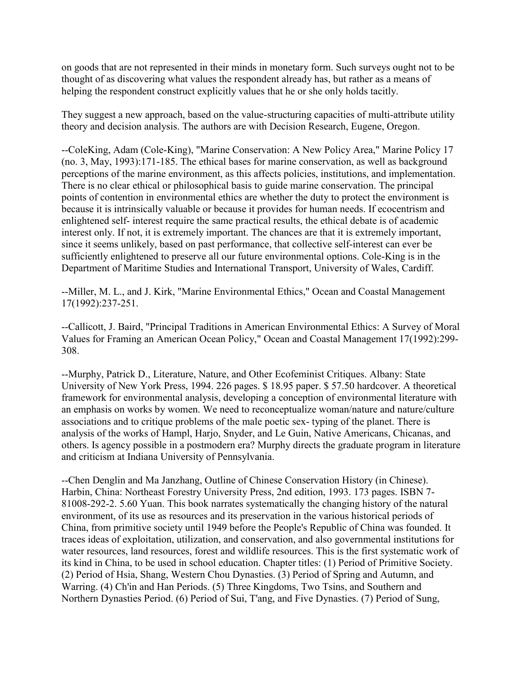on goods that are not represented in their minds in monetary form. Such surveys ought not to be thought of as discovering what values the respondent already has, but rather as a means of helping the respondent construct explicitly values that he or she only holds tacitly.

They suggest a new approach, based on the value-structuring capacities of multi-attribute utility theory and decision analysis. The authors are with Decision Research, Eugene, Oregon.

--ColeKing, Adam (Cole-King), "Marine Conservation: A New Policy Area," Marine Policy 17 (no. 3, May, 1993):171-185. The ethical bases for marine conservation, as well as background perceptions of the marine environment, as this affects policies, institutions, and implementation. There is no clear ethical or philosophical basis to guide marine conservation. The principal points of contention in environmental ethics are whether the duty to protect the environment is because it is intrinsically valuable or because it provides for human needs. If ecocentrism and enlightened self- interest require the same practical results, the ethical debate is of academic interest only. If not, it is extremely important. The chances are that it is extremely important, since it seems unlikely, based on past performance, that collective self-interest can ever be sufficiently enlightened to preserve all our future environmental options. Cole-King is in the Department of Maritime Studies and International Transport, University of Wales, Cardiff.

--Miller, M. L., and J. Kirk, "Marine Environmental Ethics," Ocean and Coastal Management 17(1992):237-251.

--Callicott, J. Baird, "Principal Traditions in American Environmental Ethics: A Survey of Moral Values for Framing an American Ocean Policy," Ocean and Coastal Management 17(1992):299- 308.

--Murphy, Patrick D., Literature, Nature, and Other Ecofeminist Critiques. Albany: State University of New York Press, 1994. 226 pages. \$ 18.95 paper. \$ 57.50 hardcover. A theoretical framework for environmental analysis, developing a conception of environmental literature with an emphasis on works by women. We need to reconceptualize woman/nature and nature/culture associations and to critique problems of the male poetic sex- typing of the planet. There is analysis of the works of Hampl, Harjo, Snyder, and Le Guin, Native Americans, Chicanas, and others. Is agency possible in a postmodern era? Murphy directs the graduate program in literature and criticism at Indiana University of Pennsylvania.

--Chen Denglin and Ma Janzhang, Outline of Chinese Conservation History (in Chinese). Harbin, China: Northeast Forestry University Press, 2nd edition, 1993. 173 pages. ISBN 7- 81008-292-2. 5.60 Yuan. This book narrates systematically the changing history of the natural environment, of its use as resources and its preservation in the various historical periods of China, from primitive society until 1949 before the People's Republic of China was founded. It traces ideas of exploitation, utilization, and conservation, and also governmental institutions for water resources, land resources, forest and wildlife resources. This is the first systematic work of its kind in China, to be used in school education. Chapter titles: (1) Period of Primitive Society. (2) Period of Hsia, Shang, Western Chou Dynasties. (3) Period of Spring and Autumn, and Warring. (4) Ch'in and Han Periods. (5) Three Kingdoms, Two Tsins, and Southern and Northern Dynasties Period. (6) Period of Sui, T'ang, and Five Dynasties. (7) Period of Sung,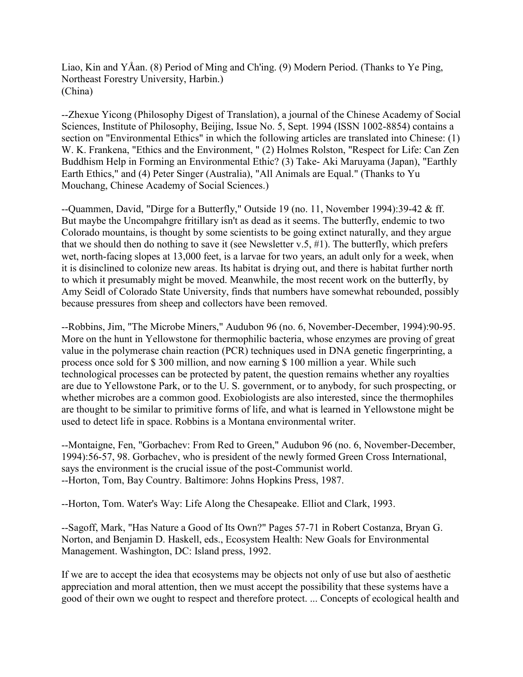Liao, Kin and YÅan. (8) Period of Ming and Ch'ing. (9) Modern Period. (Thanks to Ye Ping, Northeast Forestry University, Harbin.) (China)

--Zhexue Yicong (Philosophy Digest of Translation), a journal of the Chinese Academy of Social Sciences, Institute of Philosophy, Beijing, Issue No. 5, Sept. 1994 (ISSN 1002-8854) contains a section on "Environmental Ethics" in which the following articles are translated into Chinese: (1) W. K. Frankena, "Ethics and the Environment, " (2) Holmes Rolston, "Respect for Life: Can Zen Buddhism Help in Forming an Environmental Ethic? (3) Take- Aki Maruyama (Japan), "Earthly Earth Ethics," and (4) Peter Singer (Australia), "All Animals are Equal." (Thanks to Yu Mouchang, Chinese Academy of Social Sciences.)

--Quammen, David, "Dirge for a Butterfly," Outside 19 (no. 11, November 1994):39-42 & ff. But maybe the Uncompahgre fritillary isn't as dead as it seems. The butterfly, endemic to two Colorado mountains, is thought by some scientists to be going extinct naturally, and they argue that we should then do nothing to save it (see Newsletter v.5, #1). The butterfly, which prefers wet, north-facing slopes at 13,000 feet, is a larvae for two years, an adult only for a week, when it is disinclined to colonize new areas. Its habitat is drying out, and there is habitat further north to which it presumably might be moved. Meanwhile, the most recent work on the butterfly, by Amy Seidl of Colorado State University, finds that numbers have somewhat rebounded, possibly because pressures from sheep and collectors have been removed.

--Robbins, Jim, "The Microbe Miners," Audubon 96 (no. 6, November-December, 1994):90-95. More on the hunt in Yellowstone for thermophilic bacteria, whose enzymes are proving of great value in the polymerase chain reaction (PCR) techniques used in DNA genetic fingerprinting, a process once sold for \$ 300 million, and now earning \$ 100 million a year. While such technological processes can be protected by patent, the question remains whether any royalties are due to Yellowstone Park, or to the U. S. government, or to anybody, for such prospecting, or whether microbes are a common good. Exobiologists are also interested, since the thermophiles are thought to be similar to primitive forms of life, and what is learned in Yellowstone might be used to detect life in space. Robbins is a Montana environmental writer.

--Montaigne, Fen, "Gorbachev: From Red to Green," Audubon 96 (no. 6, November-December, 1994):56-57, 98. Gorbachev, who is president of the newly formed Green Cross International, says the environment is the crucial issue of the post-Communist world. --Horton, Tom, Bay Country. Baltimore: Johns Hopkins Press, 1987.

--Horton, Tom. Water's Way: Life Along the Chesapeake. Elliot and Clark, 1993.

--Sagoff, Mark, "Has Nature a Good of Its Own?" Pages 57-71 in Robert Costanza, Bryan G. Norton, and Benjamin D. Haskell, eds., Ecosystem Health: New Goals for Environmental Management. Washington, DC: Island press, 1992.

If we are to accept the idea that ecosystems may be objects not only of use but also of aesthetic appreciation and moral attention, then we must accept the possibility that these systems have a good of their own we ought to respect and therefore protect. ... Concepts of ecological health and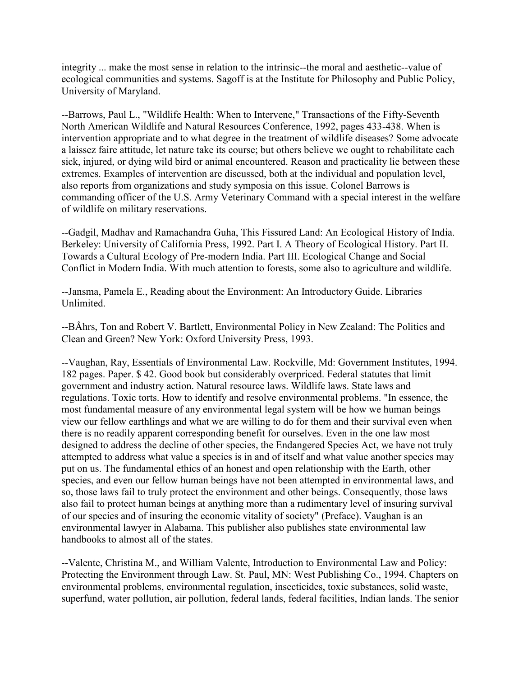integrity ... make the most sense in relation to the intrinsic--the moral and aesthetic--value of ecological communities and systems. Sagoff is at the Institute for Philosophy and Public Policy, University of Maryland.

--Barrows, Paul L., "Wildlife Health: When to Intervene," Transactions of the Fifty-Seventh North American Wildlife and Natural Resources Conference, 1992, pages 433-438. When is intervention appropriate and to what degree in the treatment of wildlife diseases? Some advocate a laissez faire attitude, let nature take its course; but others believe we ought to rehabilitate each sick, injured, or dying wild bird or animal encountered. Reason and practicality lie between these extremes. Examples of intervention are discussed, both at the individual and population level, also reports from organizations and study symposia on this issue. Colonel Barrows is commanding officer of the U.S. Army Veterinary Command with a special interest in the welfare of wildlife on military reservations.

--Gadgil, Madhav and Ramachandra Guha, This Fissured Land: An Ecological History of India. Berkeley: University of California Press, 1992. Part I. A Theory of Ecological History. Part II. Towards a Cultural Ecology of Pre-modern India. Part III. Ecological Change and Social Conflict in Modern India. With much attention to forests, some also to agriculture and wildlife.

--Jansma, Pamela E., Reading about the Environment: An Introductory Guide. Libraries **Unlimited** 

--BÅhrs, Ton and Robert V. Bartlett, Environmental Policy in New Zealand: The Politics and Clean and Green? New York: Oxford University Press, 1993.

--Vaughan, Ray, Essentials of Environmental Law. Rockville, Md: Government Institutes, 1994. 182 pages. Paper. \$ 42. Good book but considerably overpriced. Federal statutes that limit government and industry action. Natural resource laws. Wildlife laws. State laws and regulations. Toxic torts. How to identify and resolve environmental problems. "In essence, the most fundamental measure of any environmental legal system will be how we human beings view our fellow earthlings and what we are willing to do for them and their survival even when there is no readily apparent corresponding benefit for ourselves. Even in the one law most designed to address the decline of other species, the Endangered Species Act, we have not truly attempted to address what value a species is in and of itself and what value another species may put on us. The fundamental ethics of an honest and open relationship with the Earth, other species, and even our fellow human beings have not been attempted in environmental laws, and so, those laws fail to truly protect the environment and other beings. Consequently, those laws also fail to protect human beings at anything more than a rudimentary level of insuring survival of our species and of insuring the economic vitality of society" (Preface). Vaughan is an environmental lawyer in Alabama. This publisher also publishes state environmental law handbooks to almost all of the states.

--Valente, Christina M., and William Valente, Introduction to Environmental Law and Policy: Protecting the Environment through Law. St. Paul, MN: West Publishing Co., 1994. Chapters on environmental problems, environmental regulation, insecticides, toxic substances, solid waste, superfund, water pollution, air pollution, federal lands, federal facilities, Indian lands. The senior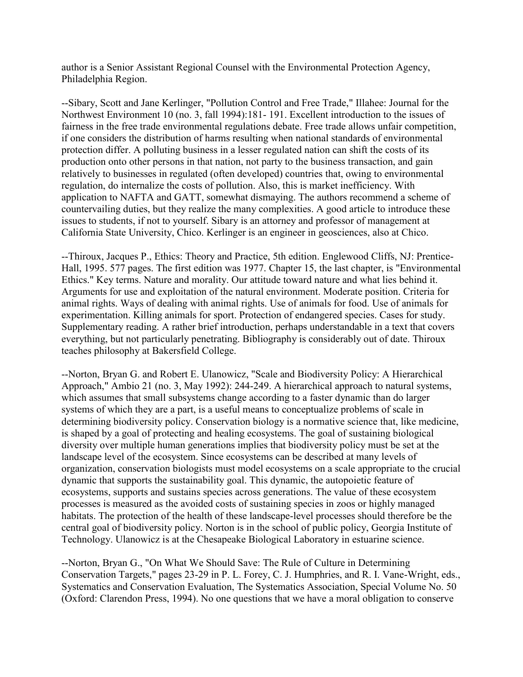author is a Senior Assistant Regional Counsel with the Environmental Protection Agency, Philadelphia Region.

--Sibary, Scott and Jane Kerlinger, "Pollution Control and Free Trade," Illahee: Journal for the Northwest Environment 10 (no. 3, fall 1994):181- 191. Excellent introduction to the issues of fairness in the free trade environmental regulations debate. Free trade allows unfair competition, if one considers the distribution of harms resulting when national standards of environmental protection differ. A polluting business in a lesser regulated nation can shift the costs of its production onto other persons in that nation, not party to the business transaction, and gain relatively to businesses in regulated (often developed) countries that, owing to environmental regulation, do internalize the costs of pollution. Also, this is market inefficiency. With application to NAFTA and GATT, somewhat dismaying. The authors recommend a scheme of countervailing duties, but they realize the many complexities. A good article to introduce these issues to students, if not to yourself. Sibary is an attorney and professor of management at California State University, Chico. Kerlinger is an engineer in geosciences, also at Chico.

--Thiroux, Jacques P., Ethics: Theory and Practice, 5th edition. Englewood Cliffs, NJ: Prentice-Hall, 1995. 577 pages. The first edition was 1977. Chapter 15, the last chapter, is "Environmental Ethics." Key terms. Nature and morality. Our attitude toward nature and what lies behind it. Arguments for use and exploitation of the natural environment. Moderate position. Criteria for animal rights. Ways of dealing with animal rights. Use of animals for food. Use of animals for experimentation. Killing animals for sport. Protection of endangered species. Cases for study. Supplementary reading. A rather brief introduction, perhaps understandable in a text that covers everything, but not particularly penetrating. Bibliography is considerably out of date. Thiroux teaches philosophy at Bakersfield College.

--Norton, Bryan G. and Robert E. Ulanowicz, "Scale and Biodiversity Policy: A Hierarchical Approach," Ambio 21 (no. 3, May 1992): 244-249. A hierarchical approach to natural systems, which assumes that small subsystems change according to a faster dynamic than do larger systems of which they are a part, is a useful means to conceptualize problems of scale in determining biodiversity policy. Conservation biology is a normative science that, like medicine, is shaped by a goal of protecting and healing ecosystems. The goal of sustaining biological diversity over multiple human generations implies that biodiversity policy must be set at the landscape level of the ecosystem. Since ecosystems can be described at many levels of organization, conservation biologists must model ecosystems on a scale appropriate to the crucial dynamic that supports the sustainability goal. This dynamic, the autopoietic feature of ecosystems, supports and sustains species across generations. The value of these ecosystem processes is measured as the avoided costs of sustaining species in zoos or highly managed habitats. The protection of the health of these landscape-level processes should therefore be the central goal of biodiversity policy. Norton is in the school of public policy, Georgia Institute of Technology. Ulanowicz is at the Chesapeake Biological Laboratory in estuarine science.

--Norton, Bryan G., "On What We Should Save: The Rule of Culture in Determining Conservation Targets," pages 23-29 in P. L. Forey, C. J. Humphries, and R. I. Vane-Wright, eds., Systematics and Conservation Evaluation, The Systematics Association, Special Volume No. 50 (Oxford: Clarendon Press, 1994). No one questions that we have a moral obligation to conserve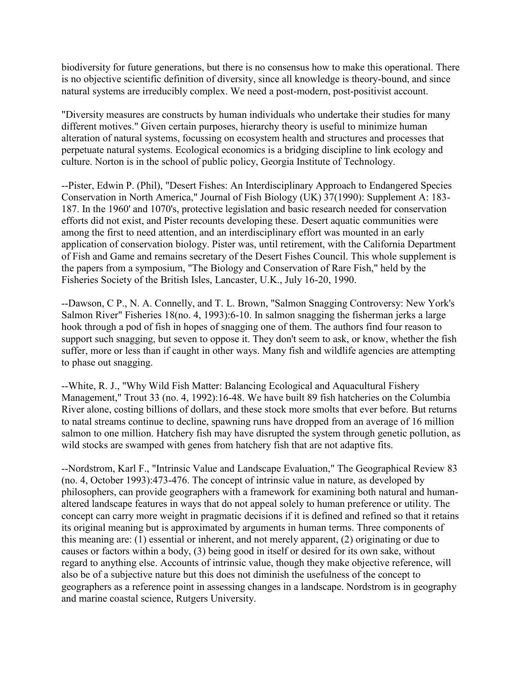biodiversity for future generations, but there is no consensus how to make this operational. There is no objective scientific definition of diversity, since all knowledge is theory-bound, and since natural systems are irreducibly complex. We need a post-modern, post-positivist account.

"Diversity measures are constructs by human individuals who undertake their studies for many different motives." Given certain purposes, hierarchy theory is useful to minimize human alteration of natural systems, focussing on ecosystem health and structures and processes that perpetuate natural systems. Ecological economics is a bridging discipline to link ecology and culture. Norton is in the school of public policy, Georgia Institute of Technology.

--Pister, Edwin P. (Phil), "Desert Fishes: An Interdisciplinary Approach to Endangered Species Conservation in North America," Journal of Fish Biology (UK) 37(1990): Supplement A: 183- 187. In the 1960' and 1070's, protective legislation and basic research needed for conservation efforts did not exist, and Pister recounts developing these. Desert aquatic communities were among the first to need attention, and an interdisciplinary effort was mounted in an early application of conservation biology. Pister was, until retirement, with the California Department of Fish and Game and remains secretary of the Desert Fishes Council. This whole supplement is the papers from a symposium, "The Biology and Conservation of Rare Fish," held by the Fisheries Society of the British Isles, Lancaster, U.K., July 16-20, 1990.

--Dawson, C P., N. A. Connelly, and T. L. Brown, "Salmon Snagging Controversy: New York's Salmon River" Fisheries 18(no. 4, 1993):6-10. In salmon snagging the fisherman jerks a large hook through a pod of fish in hopes of snagging one of them. The authors find four reason to support such snagging, but seven to oppose it. They don't seem to ask, or know, whether the fish suffer, more or less than if caught in other ways. Many fish and wildlife agencies are attempting to phase out snagging.

--White, R. J., "Why Wild Fish Matter: Balancing Ecological and Aquacultural Fishery Management," Trout 33 (no. 4, 1992):16-48. We have built 89 fish hatcheries on the Columbia River alone, costing billions of dollars, and these stock more smolts that ever before. But returns to natal streams continue to decline, spawning runs have dropped from an average of 16 million salmon to one million. Hatchery fish may have disrupted the system through genetic pollution, as wild stocks are swamped with genes from hatchery fish that are not adaptive fits.

--Nordstrom, Karl F., "Intrinsic Value and Landscape Evaluation," The Geographical Review 83 (no. 4, October 1993):473-476. The concept of intrinsic value in nature, as developed by philosophers, can provide geographers with a framework for examining both natural and humanaltered landscape features in ways that do not appeal solely to human preference or utility. The concept can carry more weight in pragmatic decisions if it is defined and refined so that it retains its original meaning but is approximated by arguments in human terms. Three components of this meaning are: (1) essential or inherent, and not merely apparent, (2) originating or due to causes or factors within a body, (3) being good in itself or desired for its own sake, without regard to anything else. Accounts of intrinsic value, though they make objective reference, will also be of a subjective nature but this does not diminish the usefulness of the concept to geographers as a reference point in assessing changes in a landscape. Nordstrom is in geography and marine coastal science, Rutgers University.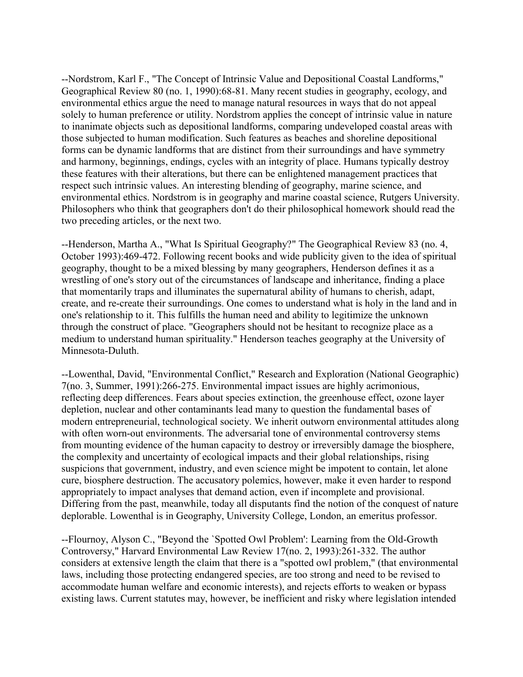--Nordstrom, Karl F., "The Concept of Intrinsic Value and Depositional Coastal Landforms," Geographical Review 80 (no. 1, 1990):68-81. Many recent studies in geography, ecology, and environmental ethics argue the need to manage natural resources in ways that do not appeal solely to human preference or utility. Nordstrom applies the concept of intrinsic value in nature to inanimate objects such as depositional landforms, comparing undeveloped coastal areas with those subjected to human modification. Such features as beaches and shoreline depositional forms can be dynamic landforms that are distinct from their surroundings and have symmetry and harmony, beginnings, endings, cycles with an integrity of place. Humans typically destroy these features with their alterations, but there can be enlightened management practices that respect such intrinsic values. An interesting blending of geography, marine science, and environmental ethics. Nordstrom is in geography and marine coastal science, Rutgers University. Philosophers who think that geographers don't do their philosophical homework should read the two preceding articles, or the next two.

--Henderson, Martha A., "What Is Spiritual Geography?" The Geographical Review 83 (no. 4, October 1993):469-472. Following recent books and wide publicity given to the idea of spiritual geography, thought to be a mixed blessing by many geographers, Henderson defines it as a wrestling of one's story out of the circumstances of landscape and inheritance, finding a place that momentarily traps and illuminates the supernatural ability of humans to cherish, adapt, create, and re-create their surroundings. One comes to understand what is holy in the land and in one's relationship to it. This fulfills the human need and ability to legitimize the unknown through the construct of place. "Geographers should not be hesitant to recognize place as a medium to understand human spirituality." Henderson teaches geography at the University of Minnesota-Duluth.

--Lowenthal, David, "Environmental Conflict," Research and Exploration (National Geographic) 7(no. 3, Summer, 1991):266-275. Environmental impact issues are highly acrimonious, reflecting deep differences. Fears about species extinction, the greenhouse effect, ozone layer depletion, nuclear and other contaminants lead many to question the fundamental bases of modern entrepreneurial, technological society. We inherit outworn environmental attitudes along with often worn-out environments. The adversarial tone of environmental controversy stems from mounting evidence of the human capacity to destroy or irreversibly damage the biosphere, the complexity and uncertainty of ecological impacts and their global relationships, rising suspicions that government, industry, and even science might be impotent to contain, let alone cure, biosphere destruction. The accusatory polemics, however, make it even harder to respond appropriately to impact analyses that demand action, even if incomplete and provisional. Differing from the past, meanwhile, today all disputants find the notion of the conquest of nature deplorable. Lowenthal is in Geography, University College, London, an emeritus professor.

--Flournoy, Alyson C., "Beyond the `Spotted Owl Problem': Learning from the Old-Growth Controversy," Harvard Environmental Law Review 17(no. 2, 1993):261-332. The author considers at extensive length the claim that there is a "spotted owl problem," (that environmental laws, including those protecting endangered species, are too strong and need to be revised to accommodate human welfare and economic interests), and rejects efforts to weaken or bypass existing laws. Current statutes may, however, be inefficient and risky where legislation intended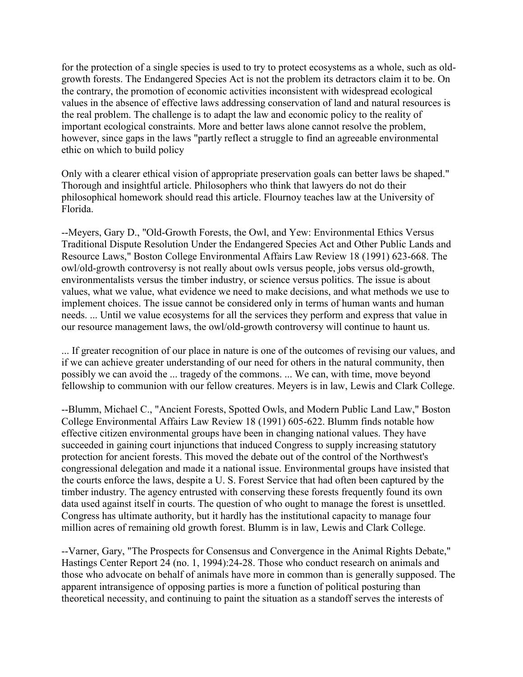for the protection of a single species is used to try to protect ecosystems as a whole, such as oldgrowth forests. The Endangered Species Act is not the problem its detractors claim it to be. On the contrary, the promotion of economic activities inconsistent with widespread ecological values in the absence of effective laws addressing conservation of land and natural resources is the real problem. The challenge is to adapt the law and economic policy to the reality of important ecological constraints. More and better laws alone cannot resolve the problem, however, since gaps in the laws "partly reflect a struggle to find an agreeable environmental ethic on which to build policy

Only with a clearer ethical vision of appropriate preservation goals can better laws be shaped." Thorough and insightful article. Philosophers who think that lawyers do not do their philosophical homework should read this article. Flournoy teaches law at the University of Florida.

--Meyers, Gary D., "Old-Growth Forests, the Owl, and Yew: Environmental Ethics Versus Traditional Dispute Resolution Under the Endangered Species Act and Other Public Lands and Resource Laws," Boston College Environmental Affairs Law Review 18 (1991) 623-668. The owl/old-growth controversy is not really about owls versus people, jobs versus old-growth, environmentalists versus the timber industry, or science versus politics. The issue is about values, what we value, what evidence we need to make decisions, and what methods we use to implement choices. The issue cannot be considered only in terms of human wants and human needs. ... Until we value ecosystems for all the services they perform and express that value in our resource management laws, the owl/old-growth controversy will continue to haunt us.

... If greater recognition of our place in nature is one of the outcomes of revising our values, and if we can achieve greater understanding of our need for others in the natural community, then possibly we can avoid the ... tragedy of the commons. ... We can, with time, move beyond fellowship to communion with our fellow creatures. Meyers is in law, Lewis and Clark College.

--Blumm, Michael C., "Ancient Forests, Spotted Owls, and Modern Public Land Law," Boston College Environmental Affairs Law Review 18 (1991) 605-622. Blumm finds notable how effective citizen environmental groups have been in changing national values. They have succeeded in gaining court injunctions that induced Congress to supply increasing statutory protection for ancient forests. This moved the debate out of the control of the Northwest's congressional delegation and made it a national issue. Environmental groups have insisted that the courts enforce the laws, despite a U. S. Forest Service that had often been captured by the timber industry. The agency entrusted with conserving these forests frequently found its own data used against itself in courts. The question of who ought to manage the forest is unsettled. Congress has ultimate authority, but it hardly has the institutional capacity to manage four million acres of remaining old growth forest. Blumm is in law, Lewis and Clark College.

--Varner, Gary, "The Prospects for Consensus and Convergence in the Animal Rights Debate," Hastings Center Report 24 (no. 1, 1994):24-28. Those who conduct research on animals and those who advocate on behalf of animals have more in common than is generally supposed. The apparent intransigence of opposing parties is more a function of political posturing than theoretical necessity, and continuing to paint the situation as a standoff serves the interests of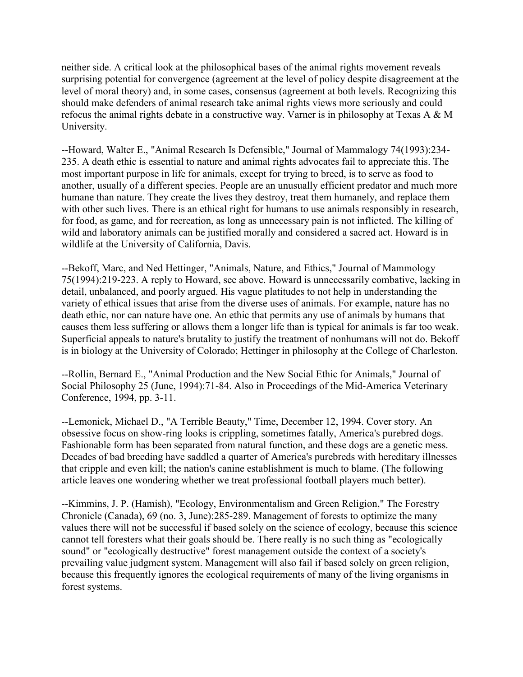neither side. A critical look at the philosophical bases of the animal rights movement reveals surprising potential for convergence (agreement at the level of policy despite disagreement at the level of moral theory) and, in some cases, consensus (agreement at both levels. Recognizing this should make defenders of animal research take animal rights views more seriously and could refocus the animal rights debate in a constructive way. Varner is in philosophy at Texas A & M University.

--Howard, Walter E., "Animal Research Is Defensible," Journal of Mammalogy 74(1993):234- 235. A death ethic is essential to nature and animal rights advocates fail to appreciate this. The most important purpose in life for animals, except for trying to breed, is to serve as food to another, usually of a different species. People are an unusually efficient predator and much more humane than nature. They create the lives they destroy, treat them humanely, and replace them with other such lives. There is an ethical right for humans to use animals responsibly in research, for food, as game, and for recreation, as long as unnecessary pain is not inflicted. The killing of wild and laboratory animals can be justified morally and considered a sacred act. Howard is in wildlife at the University of California, Davis.

--Bekoff, Marc, and Ned Hettinger, "Animals, Nature, and Ethics," Journal of Mammology 75(1994):219-223. A reply to Howard, see above. Howard is unnecessarily combative, lacking in detail, unbalanced, and poorly argued. His vague platitudes to not help in understanding the variety of ethical issues that arise from the diverse uses of animals. For example, nature has no death ethic, nor can nature have one. An ethic that permits any use of animals by humans that causes them less suffering or allows them a longer life than is typical for animals is far too weak. Superficial appeals to nature's brutality to justify the treatment of nonhumans will not do. Bekoff is in biology at the University of Colorado; Hettinger in philosophy at the College of Charleston.

--Rollin, Bernard E., "Animal Production and the New Social Ethic for Animals," Journal of Social Philosophy 25 (June, 1994):71-84. Also in Proceedings of the Mid-America Veterinary Conference, 1994, pp. 3-11.

--Lemonick, Michael D., "A Terrible Beauty," Time, December 12, 1994. Cover story. An obsessive focus on show-ring looks is crippling, sometimes fatally, America's purebred dogs. Fashionable form has been separated from natural function, and these dogs are a genetic mess. Decades of bad breeding have saddled a quarter of America's purebreds with hereditary illnesses that cripple and even kill; the nation's canine establishment is much to blame. (The following article leaves one wondering whether we treat professional football players much better).

--Kimmins, J. P. (Hamish), "Ecology, Environmentalism and Green Religion," The Forestry Chronicle (Canada), 69 (no. 3, June):285-289. Management of forests to optimize the many values there will not be successful if based solely on the science of ecology, because this science cannot tell foresters what their goals should be. There really is no such thing as "ecologically sound" or "ecologically destructive" forest management outside the context of a society's prevailing value judgment system. Management will also fail if based solely on green religion, because this frequently ignores the ecological requirements of many of the living organisms in forest systems.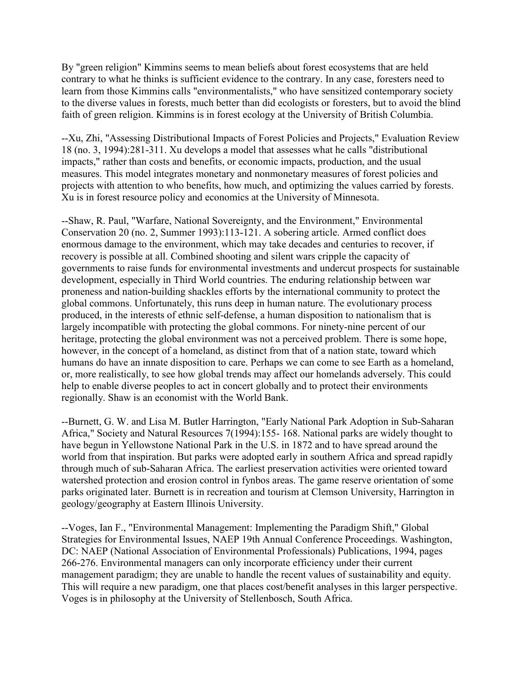By "green religion" Kimmins seems to mean beliefs about forest ecosystems that are held contrary to what he thinks is sufficient evidence to the contrary. In any case, foresters need to learn from those Kimmins calls "environmentalists," who have sensitized contemporary society to the diverse values in forests, much better than did ecologists or foresters, but to avoid the blind faith of green religion. Kimmins is in forest ecology at the University of British Columbia.

--Xu, Zhi, "Assessing Distributional Impacts of Forest Policies and Projects," Evaluation Review 18 (no. 3, 1994):281-311. Xu develops a model that assesses what he calls "distributional impacts," rather than costs and benefits, or economic impacts, production, and the usual measures. This model integrates monetary and nonmonetary measures of forest policies and projects with attention to who benefits, how much, and optimizing the values carried by forests. Xu is in forest resource policy and economics at the University of Minnesota.

--Shaw, R. Paul, "Warfare, National Sovereignty, and the Environment," Environmental Conservation 20 (no. 2, Summer 1993):113-121. A sobering article. Armed conflict does enormous damage to the environment, which may take decades and centuries to recover, if recovery is possible at all. Combined shooting and silent wars cripple the capacity of governments to raise funds for environmental investments and undercut prospects for sustainable development, especially in Third World countries. The enduring relationship between war proneness and nation-building shackles efforts by the international community to protect the global commons. Unfortunately, this runs deep in human nature. The evolutionary process produced, in the interests of ethnic self-defense, a human disposition to nationalism that is largely incompatible with protecting the global commons. For ninety-nine percent of our heritage, protecting the global environment was not a perceived problem. There is some hope, however, in the concept of a homeland, as distinct from that of a nation state, toward which humans do have an innate disposition to care. Perhaps we can come to see Earth as a homeland, or, more realistically, to see how global trends may affect our homelands adversely. This could help to enable diverse peoples to act in concert globally and to protect their environments regionally. Shaw is an economist with the World Bank.

--Burnett, G. W. and Lisa M. Butler Harrington, "Early National Park Adoption in Sub-Saharan Africa," Society and Natural Resources 7(1994):155- 168. National parks are widely thought to have begun in Yellowstone National Park in the U.S. in 1872 and to have spread around the world from that inspiration. But parks were adopted early in southern Africa and spread rapidly through much of sub-Saharan Africa. The earliest preservation activities were oriented toward watershed protection and erosion control in fynbos areas. The game reserve orientation of some parks originated later. Burnett is in recreation and tourism at Clemson University, Harrington in geology/geography at Eastern Illinois University.

--Voges, Ian F., "Environmental Management: Implementing the Paradigm Shift," Global Strategies for Environmental Issues, NAEP 19th Annual Conference Proceedings. Washington, DC: NAEP (National Association of Environmental Professionals) Publications, 1994, pages 266-276. Environmental managers can only incorporate efficiency under their current management paradigm; they are unable to handle the recent values of sustainability and equity. This will require a new paradigm, one that places cost/benefit analyses in this larger perspective. Voges is in philosophy at the University of Stellenbosch, South Africa.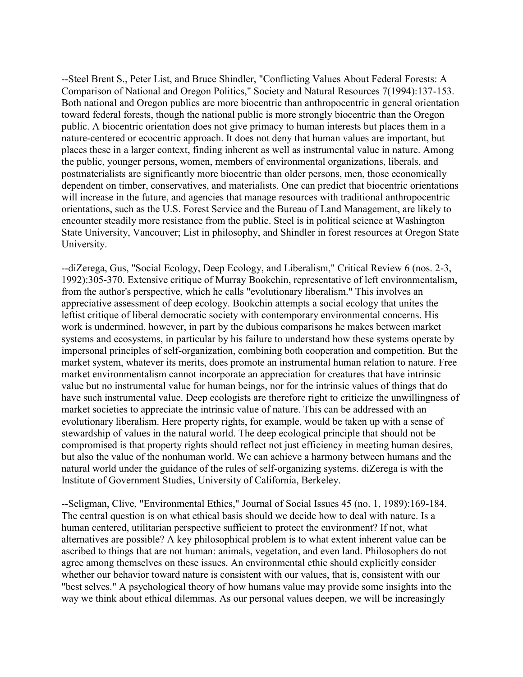--Steel Brent S., Peter List, and Bruce Shindler, "Conflicting Values About Federal Forests: A Comparison of National and Oregon Politics," Society and Natural Resources 7(1994):137-153. Both national and Oregon publics are more biocentric than anthropocentric in general orientation toward federal forests, though the national public is more strongly biocentric than the Oregon public. A biocentric orientation does not give primacy to human interests but places them in a nature-centered or ecocentric approach. It does not deny that human values are important, but places these in a larger context, finding inherent as well as instrumental value in nature. Among the public, younger persons, women, members of environmental organizations, liberals, and postmaterialists are significantly more biocentric than older persons, men, those economically dependent on timber, conservatives, and materialists. One can predict that biocentric orientations will increase in the future, and agencies that manage resources with traditional anthropocentric orientations, such as the U.S. Forest Service and the Bureau of Land Management, are likely to encounter steadily more resistance from the public. Steel is in political science at Washington State University, Vancouver; List in philosophy, and Shindler in forest resources at Oregon State University.

--diZerega, Gus, "Social Ecology, Deep Ecology, and Liberalism," Critical Review 6 (nos. 2-3, 1992):305-370. Extensive critique of Murray Bookchin, representative of left environmentalism, from the author's perspective, which he calls "evolutionary liberalism." This involves an appreciative assessment of deep ecology. Bookchin attempts a social ecology that unites the leftist critique of liberal democratic society with contemporary environmental concerns. His work is undermined, however, in part by the dubious comparisons he makes between market systems and ecosystems, in particular by his failure to understand how these systems operate by impersonal principles of self-organization, combining both cooperation and competition. But the market system, whatever its merits, does promote an instrumental human relation to nature. Free market environmentalism cannot incorporate an appreciation for creatures that have intrinsic value but no instrumental value for human beings, nor for the intrinsic values of things that do have such instrumental value. Deep ecologists are therefore right to criticize the unwillingness of market societies to appreciate the intrinsic value of nature. This can be addressed with an evolutionary liberalism. Here property rights, for example, would be taken up with a sense of stewardship of values in the natural world. The deep ecological principle that should not be compromised is that property rights should reflect not just efficiency in meeting human desires, but also the value of the nonhuman world. We can achieve a harmony between humans and the natural world under the guidance of the rules of self-organizing systems. diZerega is with the Institute of Government Studies, University of California, Berkeley.

--Seligman, Clive, "Environmental Ethics," Journal of Social Issues 45 (no. 1, 1989):169-184. The central question is on what ethical basis should we decide how to deal with nature. Is a human centered, utilitarian perspective sufficient to protect the environment? If not, what alternatives are possible? A key philosophical problem is to what extent inherent value can be ascribed to things that are not human: animals, vegetation, and even land. Philosophers do not agree among themselves on these issues. An environmental ethic should explicitly consider whether our behavior toward nature is consistent with our values, that is, consistent with our "best selves." A psychological theory of how humans value may provide some insights into the way we think about ethical dilemmas. As our personal values deepen, we will be increasingly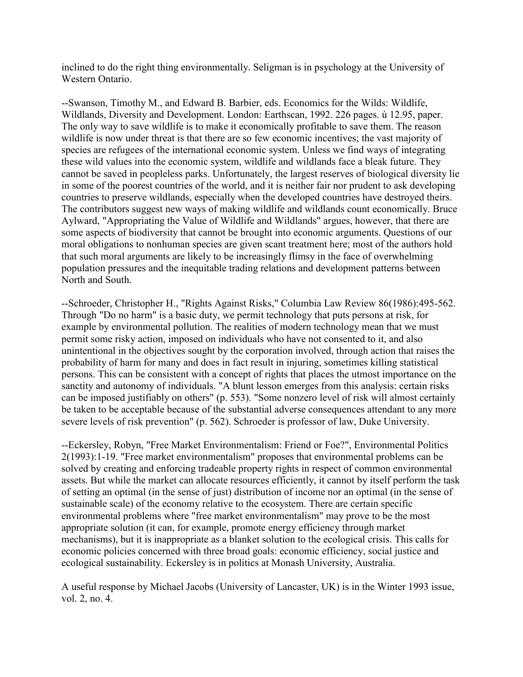inclined to do the right thing environmentally. Seligman is in psychology at the University of Western Ontario.

--Swanson, Timothy M., and Edward B. Barbier, eds. Economics for the Wilds: Wildlife, Wildlands, Diversity and Development. London: Earthscan, 1992. 226 pages. ú 12.95, paper. The only way to save wildlife is to make it economically profitable to save them. The reason wildlife is now under threat is that there are so few economic incentives; the vast majority of species are refugees of the international economic system. Unless we find ways of integrating these wild values into the economic system, wildlife and wildlands face a bleak future. They cannot be saved in peopleless parks. Unfortunately, the largest reserves of biological diversity lie in some of the poorest countries of the world, and it is neither fair nor prudent to ask developing countries to preserve wildlands, especially when the developed countries have destroyed theirs. The contributors suggest new ways of making wildlife and wildlands count economically. Bruce Aylward, "Appropriating the Value of Wildlife and Wildlands" argues, however, that there are some aspects of biodiversity that cannot be brought into economic arguments. Questions of our moral obligations to nonhuman species are given scant treatment here; most of the authors hold that such moral arguments are likely to be increasingly flimsy in the face of overwhelming population pressures and the inequitable trading relations and development patterns between North and South.

--Schroeder, Christopher H., "Rights Against Risks," Columbia Law Review 86(1986):495-562. Through "Do no harm" is a basic duty, we permit technology that puts persons at risk, for example by environmental pollution. The realities of modern technology mean that we must permit some risky action, imposed on individuals who have not consented to it, and also unintentional in the objectives sought by the corporation involved, through action that raises the probability of harm for many and does in fact result in injuring, sometimes killing statistical persons. This can be consistent with a concept of rights that places the utmost importance on the sanctity and autonomy of individuals. "A blunt lesson emerges from this analysis: certain risks can be imposed justifiably on others" (p. 553). "Some nonzero level of risk will almost certainly be taken to be acceptable because of the substantial adverse consequences attendant to any more severe levels of risk prevention" (p. 562). Schroeder is professor of law, Duke University.

--Eckersley, Robyn, "Free Market Environmentalism: Friend or Foe?", Environmental Politics 2(1993):1-19. "Free market environmentalism" proposes that environmental problems can be solved by creating and enforcing tradeable property rights in respect of common environmental assets. But while the market can allocate resources efficiently, it cannot by itself perform the task of setting an optimal (in the sense of just) distribution of income nor an optimal (in the sense of sustainable scale) of the economy relative to the ecosystem. There are certain specific environmental problems where "free market environmentalism" may prove to be the most appropriate solution (it can, for example, promote energy efficiency through market mechanisms), but it is inappropriate as a blanket solution to the ecological crisis. This calls for economic policies concerned with three broad goals: economic efficiency, social justice and ecological sustainability. Eckersley is in politics at Monash University, Australia.

A useful response by Michael Jacobs (University of Lancaster, UK) is in the Winter 1993 issue, vol. 2, no. 4.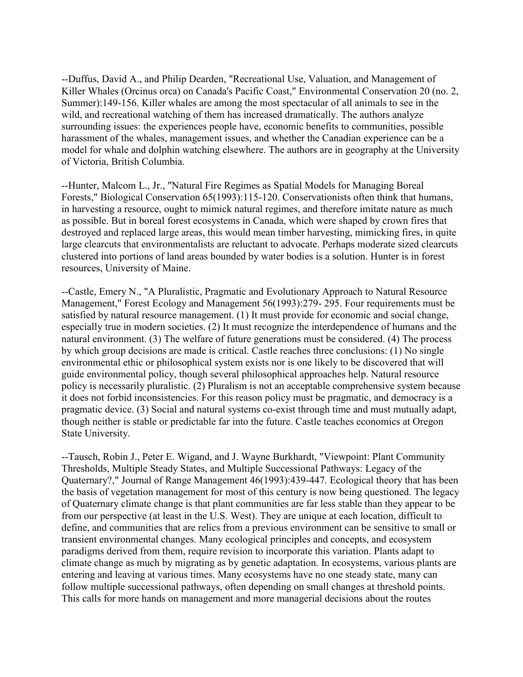--Duffus, David A., and Philip Dearden, "Recreational Use, Valuation, and Management of Killer Whales (Orcinus orca) on Canada's Pacific Coast," Environmental Conservation 20 (no. 2, Summer):149-156. Killer whales are among the most spectacular of all animals to see in the wild, and recreational watching of them has increased dramatically. The authors analyze surrounding issues: the experiences people have, economic benefits to communities, possible harassment of the whales, management issues, and whether the Canadian experience can be a model for whale and dolphin watching elsewhere. The authors are in geography at the University of Victoria, British Columbia.

--Hunter, Malcom L., Jr., "Natural Fire Regimes as Spatial Models for Managing Boreal Forests," Biological Conservation 65(1993):115-120. Conservationists often think that humans, in harvesting a resource, ought to mimick natural regimes, and therefore imitate nature as much as possible. But in boreal forest ecosystems in Canada, which were shaped by crown fires that destroyed and replaced large areas, this would mean timber harvesting, mimicking fires, in quite large clearcuts that environmentalists are reluctant to advocate. Perhaps moderate sized clearcuts clustered into portions of land areas bounded by water bodies is a solution. Hunter is in forest resources, University of Maine.

--Castle, Emery N., "A Pluralistic, Pragmatic and Evolutionary Approach to Natural Resource Management," Forest Ecology and Management 56(1993):279- 295. Four requirements must be satisfied by natural resource management. (1) It must provide for economic and social change, especially true in modern societies. (2) It must recognize the interdependence of humans and the natural environment. (3) The welfare of future generations must be considered. (4) The process by which group decisions are made is critical. Castle reaches three conclusions: (1) No single environmental ethic or philosophical system exists nor is one likely to be discovered that will guide environmental policy, though several philosophical approaches help. Natural resource policy is necessarily pluralistic. (2) Pluralism is not an acceptable comprehensive system because it does not forbid inconsistencies. For this reason policy must be pragmatic, and democracy is a pragmatic device. (3) Social and natural systems co-exist through time and must mutually adapt, though neither is stable or predictable far into the future. Castle teaches economics at Oregon State University.

--Tausch, Robin J., Peter E. Wigand, and J. Wayne Burkhardt, "Viewpoint: Plant Community Thresholds, Multiple Steady States, and Multiple Successional Pathways: Legacy of the Quaternary?," Journal of Range Management 46(1993):439-447. Ecological theory that has been the basis of vegetation management for most of this century is now being questioned. The legacy of Quaternary climate change is that plant communities are far less stable than they appear to be from our perspective (at least in the U.S. West). They are unique at each location, difficult to define, and communities that are relics from a previous environment can be sensitive to small or transient environmental changes. Many ecological principles and concepts, and ecosystem paradigms derived from them, require revision to incorporate this variation. Plants adapt to climate change as much by migrating as by genetic adaptation. In ecosystems, various plants are entering and leaving at various times. Many ecosystems have no one steady state, many can follow multiple successional pathways, often depending on small changes at threshold points. This calls for more hands on management and more managerial decisions about the routes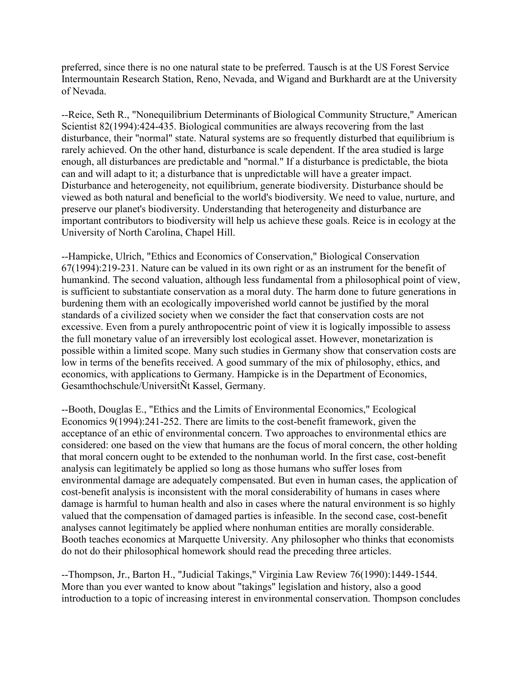preferred, since there is no one natural state to be preferred. Tausch is at the US Forest Service Intermountain Research Station, Reno, Nevada, and Wigand and Burkhardt are at the University of Nevada.

--Reice, Seth R., "Nonequilibrium Determinants of Biological Community Structure," American Scientist 82(1994):424-435. Biological communities are always recovering from the last disturbance, their "normal" state. Natural systems are so frequently disturbed that equilibrium is rarely achieved. On the other hand, disturbance is scale dependent. If the area studied is large enough, all disturbances are predictable and "normal." If a disturbance is predictable, the biota can and will adapt to it; a disturbance that is unpredictable will have a greater impact. Disturbance and heterogeneity, not equilibrium, generate biodiversity. Disturbance should be viewed as both natural and beneficial to the world's biodiversity. We need to value, nurture, and preserve our planet's biodiversity. Understanding that heterogeneity and disturbance are important contributors to biodiversity will help us achieve these goals. Reice is in ecology at the University of North Carolina, Chapel Hill.

--Hampicke, Ulrich, "Ethics and Economics of Conservation," Biological Conservation 67(1994):219-231. Nature can be valued in its own right or as an instrument for the benefit of humankind. The second valuation, although less fundamental from a philosophical point of view, is sufficient to substantiate conservation as a moral duty. The harm done to future generations in burdening them with an ecologically impoverished world cannot be justified by the moral standards of a civilized society when we consider the fact that conservation costs are not excessive. Even from a purely anthropocentric point of view it is logically impossible to assess the full monetary value of an irreversibly lost ecological asset. However, monetarization is possible within a limited scope. Many such studies in Germany show that conservation costs are low in terms of the benefits received. A good summary of the mix of philosophy, ethics, and economics, with applications to Germany. Hampicke is in the Department of Economics, Gesamthochschule/UniversitÑt Kassel, Germany.

--Booth, Douglas E., "Ethics and the Limits of Environmental Economics," Ecological Economics 9(1994):241-252. There are limits to the cost-benefit framework, given the acceptance of an ethic of environmental concern. Two approaches to environmental ethics are considered: one based on the view that humans are the focus of moral concern, the other holding that moral concern ought to be extended to the nonhuman world. In the first case, cost-benefit analysis can legitimately be applied so long as those humans who suffer loses from environmental damage are adequately compensated. But even in human cases, the application of cost-benefit analysis is inconsistent with the moral considerability of humans in cases where damage is harmful to human health and also in cases where the natural environment is so highly valued that the compensation of damaged parties is infeasible. In the second case, cost-benefit analyses cannot legitimately be applied where nonhuman entities are morally considerable. Booth teaches economics at Marquette University. Any philosopher who thinks that economists do not do their philosophical homework should read the preceding three articles.

--Thompson, Jr., Barton H., "Judicial Takings," Virginia Law Review 76(1990):1449-1544. More than you ever wanted to know about "takings" legislation and history, also a good introduction to a topic of increasing interest in environmental conservation. Thompson concludes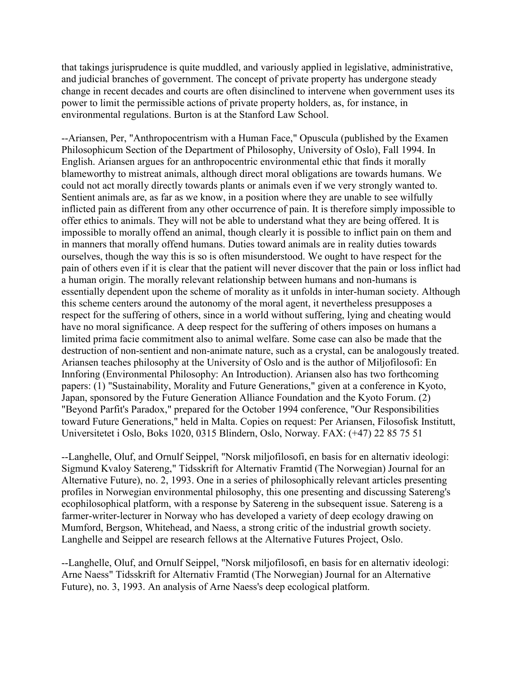that takings jurisprudence is quite muddled, and variously applied in legislative, administrative, and judicial branches of government. The concept of private property has undergone steady change in recent decades and courts are often disinclined to intervene when government uses its power to limit the permissible actions of private property holders, as, for instance, in environmental regulations. Burton is at the Stanford Law School.

--Ariansen, Per, "Anthropocentrism with a Human Face," Opuscula (published by the Examen Philosophicum Section of the Department of Philosophy, University of Oslo), Fall 1994. In English. Ariansen argues for an anthropocentric environmental ethic that finds it morally blameworthy to mistreat animals, although direct moral obligations are towards humans. We could not act morally directly towards plants or animals even if we very strongly wanted to. Sentient animals are, as far as we know, in a position where they are unable to see wilfully inflicted pain as different from any other occurrence of pain. It is therefore simply impossible to offer ethics to animals. They will not be able to understand what they are being offered. It is impossible to morally offend an animal, though clearly it is possible to inflict pain on them and in manners that morally offend humans. Duties toward animals are in reality duties towards ourselves, though the way this is so is often misunderstood. We ought to have respect for the pain of others even if it is clear that the patient will never discover that the pain or loss inflict had a human origin. The morally relevant relationship between humans and non-humans is essentially dependent upon the scheme of morality as it unfolds in inter-human society. Although this scheme centers around the autonomy of the moral agent, it nevertheless presupposes a respect for the suffering of others, since in a world without suffering, lying and cheating would have no moral significance. A deep respect for the suffering of others imposes on humans a limited prima facie commitment also to animal welfare. Some case can also be made that the destruction of non-sentient and non-animate nature, such as a crystal, can be analogously treated. Ariansen teaches philosophy at the University of Oslo and is the author of Miljofilosofi: En Innforing (Environmental Philosophy: An Introduction). Ariansen also has two forthcoming papers: (1) "Sustainability, Morality and Future Generations," given at a conference in Kyoto, Japan, sponsored by the Future Generation Alliance Foundation and the Kyoto Forum. (2) "Beyond Parfit's Paradox," prepared for the October 1994 conference, "Our Responsibilities toward Future Generations," held in Malta. Copies on request: Per Ariansen, Filosofisk Institutt, Universitetet i Oslo, Boks 1020, 0315 Blindern, Oslo, Norway. FAX: (+47) 22 85 75 51

--Langhelle, Oluf, and Ornulf Seippel, "Norsk miljofilosofi, en basis for en alternativ ideologi: Sigmund Kvaloy Satereng," Tidsskrift for Alternativ Framtid (The Norwegian) Journal for an Alternative Future), no. 2, 1993. One in a series of philosophically relevant articles presenting profiles in Norwegian environmental philosophy, this one presenting and discussing Satereng's ecophilosophical platform, with a response by Satereng in the subsequent issue. Satereng is a farmer-writer-lecturer in Norway who has developed a variety of deep ecology drawing on Mumford, Bergson, Whitehead, and Naess, a strong critic of the industrial growth society. Langhelle and Seippel are research fellows at the Alternative Futures Project, Oslo.

--Langhelle, Oluf, and Ornulf Seippel, "Norsk miljofilosofi, en basis for en alternativ ideologi: Arne Naess" Tidsskrift for Alternativ Framtid (The Norwegian) Journal for an Alternative Future), no. 3, 1993. An analysis of Arne Naess's deep ecological platform.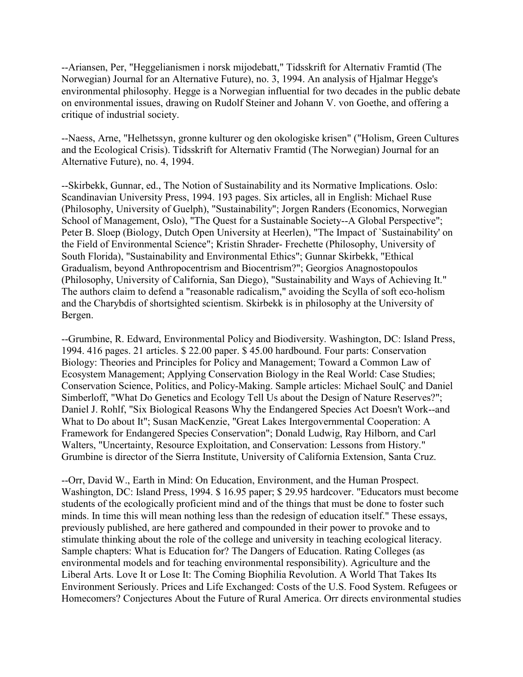--Ariansen, Per, "Heggelianismen i norsk mijodebatt," Tidsskrift for Alternativ Framtid (The Norwegian) Journal for an Alternative Future), no. 3, 1994. An analysis of Hjalmar Hegge's environmental philosophy. Hegge is a Norwegian influential for two decades in the public debate on environmental issues, drawing on Rudolf Steiner and Johann V. von Goethe, and offering a critique of industrial society.

--Naess, Arne, "Helhetssyn, gronne kulturer og den okologiske krisen" ("Holism, Green Cultures and the Ecological Crisis). Tidsskrift for Alternativ Framtid (The Norwegian) Journal for an Alternative Future), no. 4, 1994.

--Skirbekk, Gunnar, ed., The Notion of Sustainability and its Normative Implications. Oslo: Scandinavian University Press, 1994. 193 pages. Six articles, all in English: Michael Ruse (Philosophy, University of Guelph), "Sustainability"; Jorgen Randers (Economics, Norwegian School of Management, Oslo), "The Quest for a Sustainable Society--A Global Perspective"; Peter B. Sloep (Biology, Dutch Open University at Heerlen), "The Impact of `Sustainability' on the Field of Environmental Science"; Kristin Shrader- Frechette (Philosophy, University of South Florida), "Sustainability and Environmental Ethics"; Gunnar Skirbekk, "Ethical Gradualism, beyond Anthropocentrism and Biocentrism?"; Georgios Anagnostopoulos (Philosophy, University of California, San Diego), "Sustainability and Ways of Achieving It." The authors claim to defend a "reasonable radicalism," avoiding the Scylla of soft eco-holism and the Charybdis of shortsighted scientism. Skirbekk is in philosophy at the University of Bergen.

--Grumbine, R. Edward, Environmental Policy and Biodiversity. Washington, DC: Island Press, 1994. 416 pages. 21 articles. \$ 22.00 paper. \$ 45.00 hardbound. Four parts: Conservation Biology: Theories and Principles for Policy and Management; Toward a Common Law of Ecosystem Management; Applying Conservation Biology in the Real World: Case Studies; Conservation Science, Politics, and Policy-Making. Sample articles: Michael SoulÇ and Daniel Simberloff, "What Do Genetics and Ecology Tell Us about the Design of Nature Reserves?"; Daniel J. Rohlf, "Six Biological Reasons Why the Endangered Species Act Doesn't Work--and What to Do about It"; Susan MacKenzie, "Great Lakes Intergovernmental Cooperation: A Framework for Endangered Species Conservation"; Donald Ludwig, Ray Hilborn, and Carl Walters, "Uncertainty, Resource Exploitation, and Conservation: Lessons from History." Grumbine is director of the Sierra Institute, University of California Extension, Santa Cruz.

--Orr, David W., Earth in Mind: On Education, Environment, and the Human Prospect. Washington, DC: Island Press, 1994. \$ 16.95 paper; \$ 29.95 hardcover. "Educators must become students of the ecologically proficient mind and of the things that must be done to foster such minds. In time this will mean nothing less than the redesign of education itself." These essays, previously published, are here gathered and compounded in their power to provoke and to stimulate thinking about the role of the college and university in teaching ecological literacy. Sample chapters: What is Education for? The Dangers of Education. Rating Colleges (as environmental models and for teaching environmental responsibility). Agriculture and the Liberal Arts. Love It or Lose It: The Coming Biophilia Revolution. A World That Takes Its Environment Seriously. Prices and Life Exchanged: Costs of the U.S. Food System. Refugees or Homecomers? Conjectures About the Future of Rural America. Orr directs environmental studies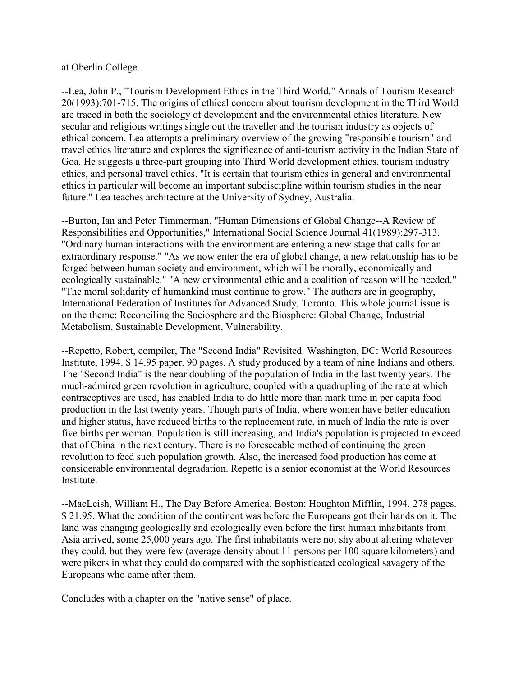at Oberlin College.

--Lea, John P., "Tourism Development Ethics in the Third World," Annals of Tourism Research 20(1993):701-715. The origins of ethical concern about tourism development in the Third World are traced in both the sociology of development and the environmental ethics literature. New secular and religious writings single out the traveller and the tourism industry as objects of ethical concern. Lea attempts a preliminary overview of the growing "responsible tourism" and travel ethics literature and explores the significance of anti-tourism activity in the Indian State of Goa. He suggests a three-part grouping into Third World development ethics, tourism industry ethics, and personal travel ethics. "It is certain that tourism ethics in general and environmental ethics in particular will become an important subdiscipline within tourism studies in the near future." Lea teaches architecture at the University of Sydney, Australia.

--Burton, Ian and Peter Timmerman, "Human Dimensions of Global Change--A Review of Responsibilities and Opportunities," International Social Science Journal 41(1989):297-313. "Ordinary human interactions with the environment are entering a new stage that calls for an extraordinary response." "As we now enter the era of global change, a new relationship has to be forged between human society and environment, which will be morally, economically and ecologically sustainable." "A new environmental ethic and a coalition of reason will be needed." "The moral solidarity of humankind must continue to grow." The authors are in geography, International Federation of Institutes for Advanced Study, Toronto. This whole journal issue is on the theme: Reconciling the Sociosphere and the Biosphere: Global Change, Industrial Metabolism, Sustainable Development, Vulnerability.

--Repetto, Robert, compiler, The "Second India" Revisited. Washington, DC: World Resources Institute, 1994. \$ 14.95 paper. 90 pages. A study produced by a team of nine Indians and others. The "Second India" is the near doubling of the population of India in the last twenty years. The much-admired green revolution in agriculture, coupled with a quadrupling of the rate at which contraceptives are used, has enabled India to do little more than mark time in per capita food production in the last twenty years. Though parts of India, where women have better education and higher status, have reduced births to the replacement rate, in much of India the rate is over five births per woman. Population is still increasing, and India's population is projected to exceed that of China in the next century. There is no foreseeable method of continuing the green revolution to feed such population growth. Also, the increased food production has come at considerable environmental degradation. Repetto is a senior economist at the World Resources Institute.

--MacLeish, William H., The Day Before America. Boston: Houghton Mifflin, 1994. 278 pages. \$ 21.95. What the condition of the continent was before the Europeans got their hands on it. The land was changing geologically and ecologically even before the first human inhabitants from Asia arrived, some 25,000 years ago. The first inhabitants were not shy about altering whatever they could, but they were few (average density about 11 persons per 100 square kilometers) and were pikers in what they could do compared with the sophisticated ecological savagery of the Europeans who came after them.

Concludes with a chapter on the "native sense" of place.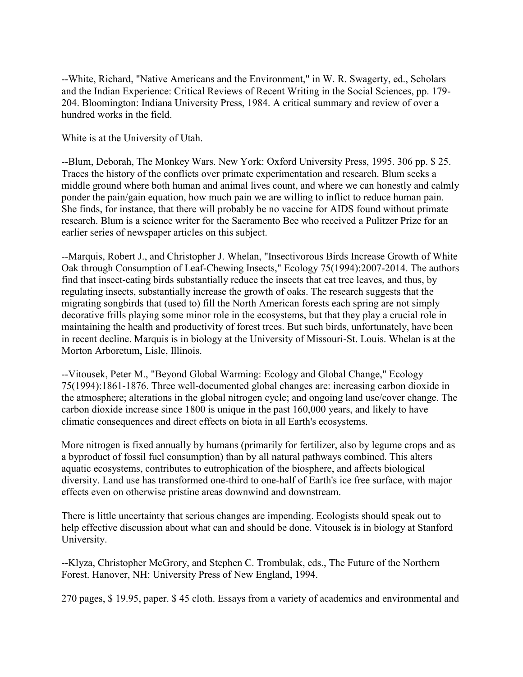--White, Richard, "Native Americans and the Environment," in W. R. Swagerty, ed., Scholars and the Indian Experience: Critical Reviews of Recent Writing in the Social Sciences, pp. 179- 204. Bloomington: Indiana University Press, 1984. A critical summary and review of over a hundred works in the field.

White is at the University of Utah.

--Blum, Deborah, The Monkey Wars. New York: Oxford University Press, 1995. 306 pp. \$ 25. Traces the history of the conflicts over primate experimentation and research. Blum seeks a middle ground where both human and animal lives count, and where we can honestly and calmly ponder the pain/gain equation, how much pain we are willing to inflict to reduce human pain. She finds, for instance, that there will probably be no vaccine for AIDS found without primate research. Blum is a science writer for the Sacramento Bee who received a Pulitzer Prize for an earlier series of newspaper articles on this subject.

--Marquis, Robert J., and Christopher J. Whelan, "Insectivorous Birds Increase Growth of White Oak through Consumption of Leaf-Chewing Insects," Ecology 75(1994):2007-2014. The authors find that insect-eating birds substantially reduce the insects that eat tree leaves, and thus, by regulating insects, substantially increase the growth of oaks. The research suggests that the migrating songbirds that (used to) fill the North American forests each spring are not simply decorative frills playing some minor role in the ecosystems, but that they play a crucial role in maintaining the health and productivity of forest trees. But such birds, unfortunately, have been in recent decline. Marquis is in biology at the University of Missouri-St. Louis. Whelan is at the Morton Arboretum, Lisle, Illinois.

--Vitousek, Peter M., "Beyond Global Warming: Ecology and Global Change," Ecology 75(1994):1861-1876. Three well-documented global changes are: increasing carbon dioxide in the atmosphere; alterations in the global nitrogen cycle; and ongoing land use/cover change. The carbon dioxide increase since 1800 is unique in the past 160,000 years, and likely to have climatic consequences and direct effects on biota in all Earth's ecosystems.

More nitrogen is fixed annually by humans (primarily for fertilizer, also by legume crops and as a byproduct of fossil fuel consumption) than by all natural pathways combined. This alters aquatic ecosystems, contributes to eutrophication of the biosphere, and affects biological diversity. Land use has transformed one-third to one-half of Earth's ice free surface, with major effects even on otherwise pristine areas downwind and downstream.

There is little uncertainty that serious changes are impending. Ecologists should speak out to help effective discussion about what can and should be done. Vitousek is in biology at Stanford University.

--Klyza, Christopher McGrory, and Stephen C. Trombulak, eds., The Future of the Northern Forest. Hanover, NH: University Press of New England, 1994.

270 pages, \$ 19.95, paper. \$ 45 cloth. Essays from a variety of academics and environmental and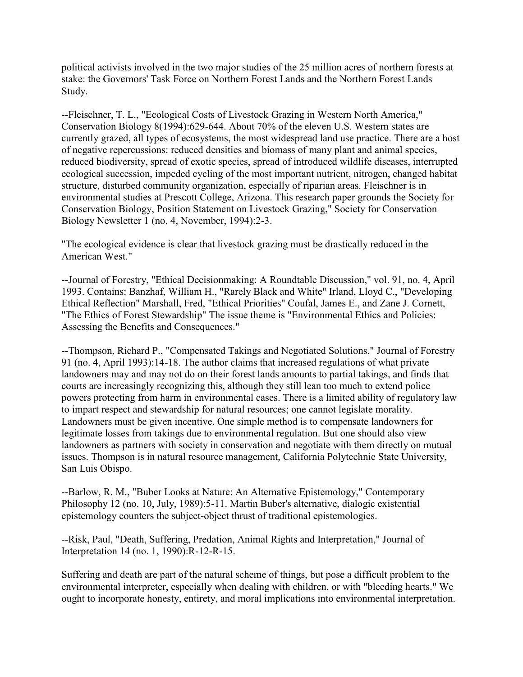political activists involved in the two major studies of the 25 million acres of northern forests at stake: the Governors' Task Force on Northern Forest Lands and the Northern Forest Lands Study.

--Fleischner, T. L., "Ecological Costs of Livestock Grazing in Western North America," Conservation Biology 8(1994):629-644. About 70% of the eleven U.S. Western states are currently grazed, all types of ecosystems, the most widespread land use practice. There are a host of negative repercussions: reduced densities and biomass of many plant and animal species, reduced biodiversity, spread of exotic species, spread of introduced wildlife diseases, interrupted ecological succession, impeded cycling of the most important nutrient, nitrogen, changed habitat structure, disturbed community organization, especially of riparian areas. Fleischner is in environmental studies at Prescott College, Arizona. This research paper grounds the Society for Conservation Biology, Position Statement on Livestock Grazing," Society for Conservation Biology Newsletter 1 (no. 4, November, 1994):2-3.

"The ecological evidence is clear that livestock grazing must be drastically reduced in the American West."

--Journal of Forestry, "Ethical Decisionmaking: A Roundtable Discussion," vol. 91, no. 4, April 1993. Contains: Banzhaf, William H., "Rarely Black and White" Irland, Lloyd C., "Developing Ethical Reflection" Marshall, Fred, "Ethical Priorities" Coufal, James E., and Zane J. Cornett, "The Ethics of Forest Stewardship" The issue theme is "Environmental Ethics and Policies: Assessing the Benefits and Consequences."

--Thompson, Richard P., "Compensated Takings and Negotiated Solutions," Journal of Forestry 91 (no. 4, April 1993):14-18. The author claims that increased regulations of what private landowners may and may not do on their forest lands amounts to partial takings, and finds that courts are increasingly recognizing this, although they still lean too much to extend police powers protecting from harm in environmental cases. There is a limited ability of regulatory law to impart respect and stewardship for natural resources; one cannot legislate morality. Landowners must be given incentive. One simple method is to compensate landowners for legitimate losses from takings due to environmental regulation. But one should also view landowners as partners with society in conservation and negotiate with them directly on mutual issues. Thompson is in natural resource management, California Polytechnic State University, San Luis Obispo.

--Barlow, R. M., "Buber Looks at Nature: An Alternative Epistemology," Contemporary Philosophy 12 (no. 10, July, 1989):5-11. Martin Buber's alternative, dialogic existential epistemology counters the subject-object thrust of traditional epistemologies.

--Risk, Paul, "Death, Suffering, Predation, Animal Rights and Interpretation," Journal of Interpretation 14 (no. 1, 1990):R-12-R-15.

Suffering and death are part of the natural scheme of things, but pose a difficult problem to the environmental interpreter, especially when dealing with children, or with "bleeding hearts." We ought to incorporate honesty, entirety, and moral implications into environmental interpretation.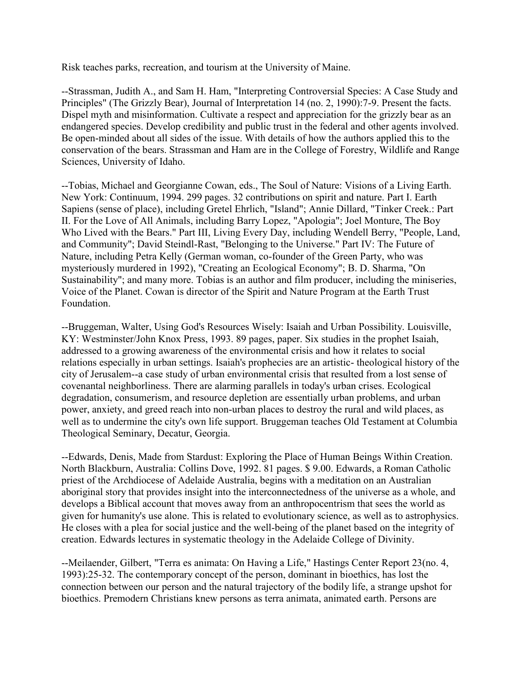Risk teaches parks, recreation, and tourism at the University of Maine.

--Strassman, Judith A., and Sam H. Ham, "Interpreting Controversial Species: A Case Study and Principles" (The Grizzly Bear), Journal of Interpretation 14 (no. 2, 1990):7-9. Present the facts. Dispel myth and misinformation. Cultivate a respect and appreciation for the grizzly bear as an endangered species. Develop credibility and public trust in the federal and other agents involved. Be open-minded about all sides of the issue. With details of how the authors applied this to the conservation of the bears. Strassman and Ham are in the College of Forestry, Wildlife and Range Sciences, University of Idaho.

--Tobias, Michael and Georgianne Cowan, eds., The Soul of Nature: Visions of a Living Earth. New York: Continuum, 1994. 299 pages. 32 contributions on spirit and nature. Part I. Earth Sapiens (sense of place), including Gretel Ehrlich, "Island"; Annie Dillard, "Tinker Creek.: Part II. For the Love of All Animals, including Barry Lopez, "Apologia"; Joel Monture, The Boy Who Lived with the Bears." Part III, Living Every Day, including Wendell Berry, "People, Land, and Community"; David Steindl-Rast, "Belonging to the Universe." Part IV: The Future of Nature, including Petra Kelly (German woman, co-founder of the Green Party, who was mysteriously murdered in 1992), "Creating an Ecological Economy"; B. D. Sharma, "On Sustainability"; and many more. Tobias is an author and film producer, including the miniseries, Voice of the Planet. Cowan is director of the Spirit and Nature Program at the Earth Trust Foundation.

--Bruggeman, Walter, Using God's Resources Wisely: Isaiah and Urban Possibility. Louisville, KY: Westminster/John Knox Press, 1993. 89 pages, paper. Six studies in the prophet Isaiah, addressed to a growing awareness of the environmental crisis and how it relates to social relations especially in urban settings. Isaiah's prophecies are an artistic- theological history of the city of Jerusalem--a case study of urban environmental crisis that resulted from a lost sense of covenantal neighborliness. There are alarming parallels in today's urban crises. Ecological degradation, consumerism, and resource depletion are essentially urban problems, and urban power, anxiety, and greed reach into non-urban places to destroy the rural and wild places, as well as to undermine the city's own life support. Bruggeman teaches Old Testament at Columbia Theological Seminary, Decatur, Georgia.

--Edwards, Denis, Made from Stardust: Exploring the Place of Human Beings Within Creation. North Blackburn, Australia: Collins Dove, 1992. 81 pages. \$ 9.00. Edwards, a Roman Catholic priest of the Archdiocese of Adelaide Australia, begins with a meditation on an Australian aboriginal story that provides insight into the interconnectedness of the universe as a whole, and develops a Biblical account that moves away from an anthropocentrism that sees the world as given for humanity's use alone. This is related to evolutionary science, as well as to astrophysics. He closes with a plea for social justice and the well-being of the planet based on the integrity of creation. Edwards lectures in systematic theology in the Adelaide College of Divinity.

--Meilaender, Gilbert, "Terra es animata: On Having a Life," Hastings Center Report 23(no. 4, 1993):25-32. The contemporary concept of the person, dominant in bioethics, has lost the connection between our person and the natural trajectory of the bodily life, a strange upshot for bioethics. Premodern Christians knew persons as terra animata, animated earth. Persons are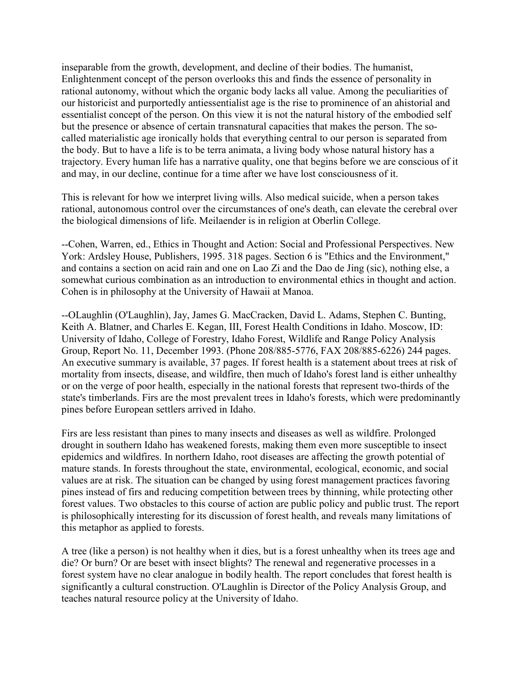inseparable from the growth, development, and decline of their bodies. The humanist, Enlightenment concept of the person overlooks this and finds the essence of personality in rational autonomy, without which the organic body lacks all value. Among the peculiarities of our historicist and purportedly antiessentialist age is the rise to prominence of an ahistorial and essentialist concept of the person. On this view it is not the natural history of the embodied self but the presence or absence of certain transnatural capacities that makes the person. The socalled materialistic age ironically holds that everything central to our person is separated from the body. But to have a life is to be terra animata, a living body whose natural history has a trajectory. Every human life has a narrative quality, one that begins before we are conscious of it and may, in our decline, continue for a time after we have lost consciousness of it.

This is relevant for how we interpret living wills. Also medical suicide, when a person takes rational, autonomous control over the circumstances of one's death, can elevate the cerebral over the biological dimensions of life. Meilaender is in religion at Oberlin College.

--Cohen, Warren, ed., Ethics in Thought and Action: Social and Professional Perspectives. New York: Ardsley House, Publishers, 1995. 318 pages. Section 6 is "Ethics and the Environment," and contains a section on acid rain and one on Lao Zi and the Dao de Jing (sic), nothing else, a somewhat curious combination as an introduction to environmental ethics in thought and action. Cohen is in philosophy at the University of Hawaii at Manoa.

--OLaughlin (O'Laughlin), Jay, James G. MacCracken, David L. Adams, Stephen C. Bunting, Keith A. Blatner, and Charles E. Kegan, III, Forest Health Conditions in Idaho. Moscow, ID: University of Idaho, College of Forestry, Idaho Forest, Wildlife and Range Policy Analysis Group, Report No. 11, December 1993. (Phone 208/885-5776, FAX 208/885-6226) 244 pages. An executive summary is available, 37 pages. If forest health is a statement about trees at risk of mortality from insects, disease, and wildfire, then much of Idaho's forest land is either unhealthy or on the verge of poor health, especially in the national forests that represent two-thirds of the state's timberlands. Firs are the most prevalent trees in Idaho's forests, which were predominantly pines before European settlers arrived in Idaho.

Firs are less resistant than pines to many insects and diseases as well as wildfire. Prolonged drought in southern Idaho has weakened forests, making them even more susceptible to insect epidemics and wildfires. In northern Idaho, root diseases are affecting the growth potential of mature stands. In forests throughout the state, environmental, ecological, economic, and social values are at risk. The situation can be changed by using forest management practices favoring pines instead of firs and reducing competition between trees by thinning, while protecting other forest values. Two obstacles to this course of action are public policy and public trust. The report is philosophically interesting for its discussion of forest health, and reveals many limitations of this metaphor as applied to forests.

A tree (like a person) is not healthy when it dies, but is a forest unhealthy when its trees age and die? Or burn? Or are beset with insect blights? The renewal and regenerative processes in a forest system have no clear analogue in bodily health. The report concludes that forest health is significantly a cultural construction. O'Laughlin is Director of the Policy Analysis Group, and teaches natural resource policy at the University of Idaho.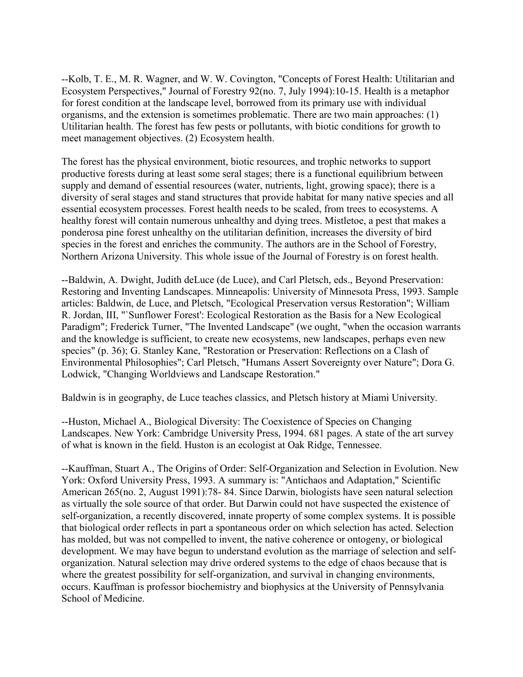--Kolb, T. E., M. R. Wagner, and W. W. Covington, "Concepts of Forest Health: Utilitarian and Ecosystem Perspectives," Journal of Forestry 92(no. 7, July 1994):10-15. Health is a metaphor for forest condition at the landscape level, borrowed from its primary use with individual organisms, and the extension is sometimes problematic. There are two main approaches: (1) Utilitarian health. The forest has few pests or pollutants, with biotic conditions for growth to meet management objectives. (2) Ecosystem health.

The forest has the physical environment, biotic resources, and trophic networks to support productive forests during at least some seral stages; there is a functional equilibrium between supply and demand of essential resources (water, nutrients, light, growing space); there is a diversity of seral stages and stand structures that provide habitat for many native species and all essential ecosystem processes. Forest health needs to be scaled, from trees to ecosystems. A healthy forest will contain numerous unhealthy and dying trees. Mistletoe, a pest that makes a ponderosa pine forest unhealthy on the utilitarian definition, increases the diversity of bird species in the forest and enriches the community. The authors are in the School of Forestry, Northern Arizona University. This whole issue of the Journal of Forestry is on forest health.

--Baldwin, A. Dwight, Judith deLuce (de Luce), and Carl Pletsch, eds., Beyond Preservation: Restoring and Inventing Landscapes. Minneapolis: University of Minnesota Press, 1993. Sample articles: Baldwin, de Luce, and Pletsch, "Ecological Preservation versus Restoration"; William R. Jordan, III, "`Sunflower Forest': Ecological Restoration as the Basis for a New Ecological Paradigm"; Frederick Turner, "The Invented Landscape" (we ought, "when the occasion warrants and the knowledge is sufficient, to create new ecosystems, new landscapes, perhaps even new species" (p. 36); G. Stanley Kane, "Restoration or Preservation: Reflections on a Clash of Environmental Philosophies"; Carl Pletsch, "Humans Assert Sovereignty over Nature"; Dora G. Lodwick, "Changing Worldviews and Landscape Restoration."

Baldwin is in geography, de Luce teaches classics, and Pletsch history at Miami University.

--Huston, Michael A., Biological Diversity: The Coexistence of Species on Changing Landscapes. New York: Cambridge University Press, 1994. 681 pages. A state of the art survey of what is known in the field. Huston is an ecologist at Oak Ridge, Tennessee.

--Kauffman, Stuart A., The Origins of Order: Self-Organization and Selection in Evolution. New York: Oxford University Press, 1993. A summary is: "Antichaos and Adaptation," Scientific American 265(no. 2, August 1991):78- 84. Since Darwin, biologists have seen natural selection as virtually the sole source of that order. But Darwin could not have suspected the existence of self-organization, a recently discovered, innate property of some complex systems. It is possible that biological order reflects in part a spontaneous order on which selection has acted. Selection has molded, but was not compelled to invent, the native coherence or ontogeny, or biological development. We may have begun to understand evolution as the marriage of selection and selforganization. Natural selection may drive ordered systems to the edge of chaos because that is where the greatest possibility for self-organization, and survival in changing environments, occurs. Kauffman is professor biochemistry and biophysics at the University of Pennsylvania School of Medicine.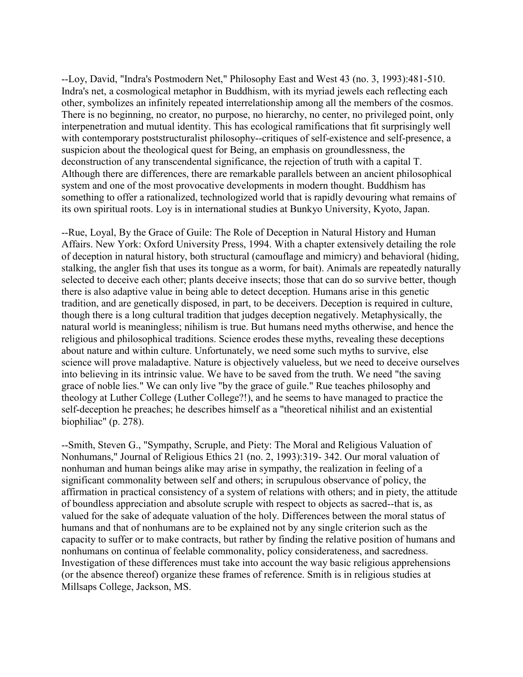--Loy, David, "Indra's Postmodern Net," Philosophy East and West 43 (no. 3, 1993):481-510. Indra's net, a cosmological metaphor in Buddhism, with its myriad jewels each reflecting each other, symbolizes an infinitely repeated interrelationship among all the members of the cosmos. There is no beginning, no creator, no purpose, no hierarchy, no center, no privileged point, only interpenetration and mutual identity. This has ecological ramifications that fit surprisingly well with contemporary poststructuralist philosophy--critiques of self-existence and self-presence, a suspicion about the theological quest for Being, an emphasis on groundlessness, the deconstruction of any transcendental significance, the rejection of truth with a capital T. Although there are differences, there are remarkable parallels between an ancient philosophical system and one of the most provocative developments in modern thought. Buddhism has something to offer a rationalized, technologized world that is rapidly devouring what remains of its own spiritual roots. Loy is in international studies at Bunkyo University, Kyoto, Japan.

--Rue, Loyal, By the Grace of Guile: The Role of Deception in Natural History and Human Affairs. New York: Oxford University Press, 1994. With a chapter extensively detailing the role of deception in natural history, both structural (camouflage and mimicry) and behavioral (hiding, stalking, the angler fish that uses its tongue as a worm, for bait). Animals are repeatedly naturally selected to deceive each other; plants deceive insects; those that can do so survive better, though there is also adaptive value in being able to detect deception. Humans arise in this genetic tradition, and are genetically disposed, in part, to be deceivers. Deception is required in culture, though there is a long cultural tradition that judges deception negatively. Metaphysically, the natural world is meaningless; nihilism is true. But humans need myths otherwise, and hence the religious and philosophical traditions. Science erodes these myths, revealing these deceptions about nature and within culture. Unfortunately, we need some such myths to survive, else science will prove maladaptive. Nature is objectively valueless, but we need to deceive ourselves into believing in its intrinsic value. We have to be saved from the truth. We need "the saving grace of noble lies." We can only live "by the grace of guile." Rue teaches philosophy and theology at Luther College (Luther College?!), and he seems to have managed to practice the self-deception he preaches; he describes himself as a "theoretical nihilist and an existential biophiliac" (p. 278).

--Smith, Steven G., "Sympathy, Scruple, and Piety: The Moral and Religious Valuation of Nonhumans," Journal of Religious Ethics 21 (no. 2, 1993):319- 342. Our moral valuation of nonhuman and human beings alike may arise in sympathy, the realization in feeling of a significant commonality between self and others; in scrupulous observance of policy, the affirmation in practical consistency of a system of relations with others; and in piety, the attitude of boundless appreciation and absolute scruple with respect to objects as sacred--that is, as valued for the sake of adequate valuation of the holy. Differences between the moral status of humans and that of nonhumans are to be explained not by any single criterion such as the capacity to suffer or to make contracts, but rather by finding the relative position of humans and nonhumans on continua of feelable commonality, policy considerateness, and sacredness. Investigation of these differences must take into account the way basic religious apprehensions (or the absence thereof) organize these frames of reference. Smith is in religious studies at Millsaps College, Jackson, MS.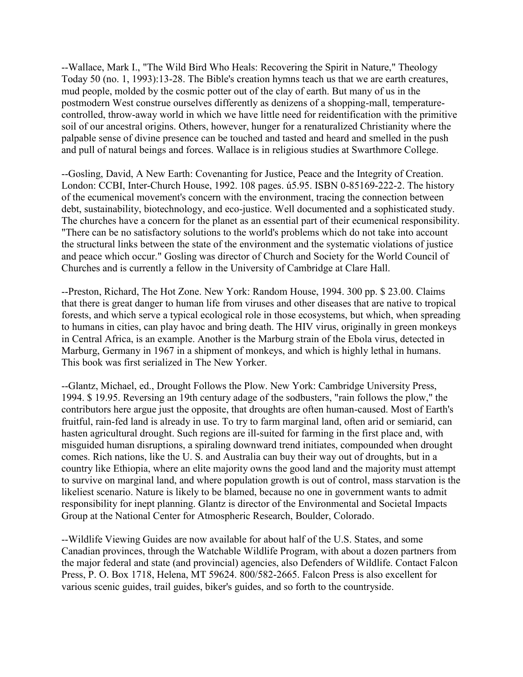--Wallace, Mark I., "The Wild Bird Who Heals: Recovering the Spirit in Nature," Theology Today 50 (no. 1, 1993):13-28. The Bible's creation hymns teach us that we are earth creatures, mud people, molded by the cosmic potter out of the clay of earth. But many of us in the postmodern West construe ourselves differently as denizens of a shopping-mall, temperaturecontrolled, throw-away world in which we have little need for reidentification with the primitive soil of our ancestral origins. Others, however, hunger for a renaturalized Christianity where the palpable sense of divine presence can be touched and tasted and heard and smelled in the push and pull of natural beings and forces. Wallace is in religious studies at Swarthmore College.

--Gosling, David, A New Earth: Covenanting for Justice, Peace and the Integrity of Creation. London: CCBI, Inter-Church House, 1992. 108 pages. ú5.95. ISBN 0-85169-222-2. The history of the ecumenical movement's concern with the environment, tracing the connection between debt, sustainability, biotechnology, and eco-justice. Well documented and a sophisticated study. The churches have a concern for the planet as an essential part of their ecumenical responsibility. "There can be no satisfactory solutions to the world's problems which do not take into account the structural links between the state of the environment and the systematic violations of justice and peace which occur." Gosling was director of Church and Society for the World Council of Churches and is currently a fellow in the University of Cambridge at Clare Hall.

--Preston, Richard, The Hot Zone. New York: Random House, 1994. 300 pp. \$ 23.00. Claims that there is great danger to human life from viruses and other diseases that are native to tropical forests, and which serve a typical ecological role in those ecosystems, but which, when spreading to humans in cities, can play havoc and bring death. The HIV virus, originally in green monkeys in Central Africa, is an example. Another is the Marburg strain of the Ebola virus, detected in Marburg, Germany in 1967 in a shipment of monkeys, and which is highly lethal in humans. This book was first serialized in The New Yorker.

--Glantz, Michael, ed., Drought Follows the Plow. New York: Cambridge University Press, 1994. \$ 19.95. Reversing an 19th century adage of the sodbusters, "rain follows the plow," the contributors here argue just the opposite, that droughts are often human-caused. Most of Earth's fruitful, rain-fed land is already in use. To try to farm marginal land, often arid or semiarid, can hasten agricultural drought. Such regions are ill-suited for farming in the first place and, with misguided human disruptions, a spiraling downward trend initiates, compounded when drought comes. Rich nations, like the U. S. and Australia can buy their way out of droughts, but in a country like Ethiopia, where an elite majority owns the good land and the majority must attempt to survive on marginal land, and where population growth is out of control, mass starvation is the likeliest scenario. Nature is likely to be blamed, because no one in government wants to admit responsibility for inept planning. Glantz is director of the Environmental and Societal Impacts Group at the National Center for Atmospheric Research, Boulder, Colorado.

--Wildlife Viewing Guides are now available for about half of the U.S. States, and some Canadian provinces, through the Watchable Wildlife Program, with about a dozen partners from the major federal and state (and provincial) agencies, also Defenders of Wildlife. Contact Falcon Press, P. O. Box 1718, Helena, MT 59624. 800/582-2665. Falcon Press is also excellent for various scenic guides, trail guides, biker's guides, and so forth to the countryside.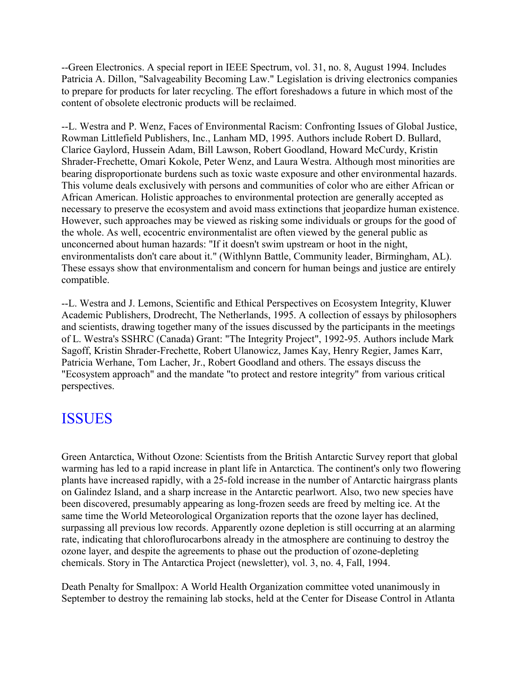--Green Electronics. A special report in IEEE Spectrum, vol. 31, no. 8, August 1994. Includes Patricia A. Dillon, "Salvageability Becoming Law." Legislation is driving electronics companies to prepare for products for later recycling. The effort foreshadows a future in which most of the content of obsolete electronic products will be reclaimed.

--L. Westra and P. Wenz, Faces of Environmental Racism: Confronting Issues of Global Justice, Rowman Littlefield Publishers, Inc., Lanham MD, 1995. Authors include Robert D. Bullard, Clarice Gaylord, Hussein Adam, Bill Lawson, Robert Goodland, Howard McCurdy, Kristin Shrader-Frechette, Omari Kokole, Peter Wenz, and Laura Westra. Although most minorities are bearing disproportionate burdens such as toxic waste exposure and other environmental hazards. This volume deals exclusively with persons and communities of color who are either African or African American. Holistic approaches to environmental protection are generally accepted as necessary to preserve the ecosystem and avoid mass extinctions that jeopardize human existence. However, such approaches may be viewed as risking some individuals or groups for the good of the whole. As well, ecocentric environmentalist are often viewed by the general public as unconcerned about human hazards: "If it doesn't swim upstream or hoot in the night, environmentalists don't care about it." (Withlynn Battle, Community leader, Birmingham, AL). These essays show that environmentalism and concern for human beings and justice are entirely compatible.

--L. Westra and J. Lemons, Scientific and Ethical Perspectives on Ecosystem Integrity, Kluwer Academic Publishers, Drodrecht, The Netherlands, 1995. A collection of essays by philosophers and scientists, drawing together many of the issues discussed by the participants in the meetings of L. Westra's SSHRC (Canada) Grant: "The Integrity Project", 1992-95. Authors include Mark Sagoff, Kristin Shrader-Frechette, Robert Ulanowicz, James Kay, Henry Regier, James Karr, Patricia Werhane, Tom Lacher, Jr., Robert Goodland and others. The essays discuss the "Ecosystem approach" and the mandate "to protect and restore integrity" from various critical perspectives.

# ISSUES

Green Antarctica, Without Ozone: Scientists from the British Antarctic Survey report that global warming has led to a rapid increase in plant life in Antarctica. The continent's only two flowering plants have increased rapidly, with a 25-fold increase in the number of Antarctic hairgrass plants on Galindez Island, and a sharp increase in the Antarctic pearlwort. Also, two new species have been discovered, presumably appearing as long-frozen seeds are freed by melting ice. At the same time the World Meteorological Organization reports that the ozone layer has declined, surpassing all previous low records. Apparently ozone depletion is still occurring at an alarming rate, indicating that chloroflurocarbons already in the atmosphere are continuing to destroy the ozone layer, and despite the agreements to phase out the production of ozone-depleting chemicals. Story in The Antarctica Project (newsletter), vol. 3, no. 4, Fall, 1994.

Death Penalty for Smallpox: A World Health Organization committee voted unanimously in September to destroy the remaining lab stocks, held at the Center for Disease Control in Atlanta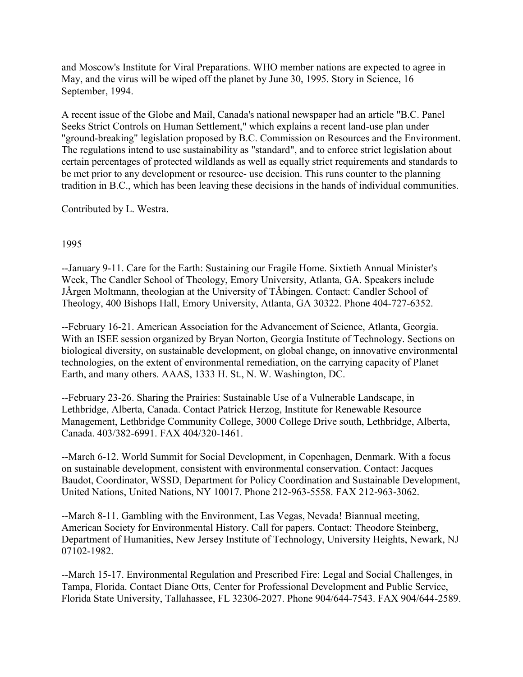and Moscow's Institute for Viral Preparations. WHO member nations are expected to agree in May, and the virus will be wiped off the planet by June 30, 1995. Story in Science, 16 September, 1994.

A recent issue of the Globe and Mail, Canada's national newspaper had an article "B.C. Panel Seeks Strict Controls on Human Settlement," which explains a recent land-use plan under "ground-breaking" legislation proposed by B.C. Commission on Resources and the Environment. The regulations intend to use sustainability as "standard", and to enforce strict legislation about certain percentages of protected wildlands as well as equally strict requirements and standards to be met prior to any development or resource- use decision. This runs counter to the planning tradition in B.C., which has been leaving these decisions in the hands of individual communities.

Contributed by L. Westra.

#### 1995

--January 9-11. Care for the Earth: Sustaining our Fragile Home. Sixtieth Annual Minister's Week, The Candler School of Theology, Emory University, Atlanta, GA. Speakers include JÅrgen Moltmann, theologian at the University of TÅbingen. Contact: Candler School of Theology, 400 Bishops Hall, Emory University, Atlanta, GA 30322. Phone 404-727-6352.

--February 16-21. American Association for the Advancement of Science, Atlanta, Georgia. With an ISEE session organized by Bryan Norton, Georgia Institute of Technology. Sections on biological diversity, on sustainable development, on global change, on innovative environmental technologies, on the extent of environmental remediation, on the carrying capacity of Planet Earth, and many others. AAAS, 1333 H. St., N. W. Washington, DC.

--February 23-26. Sharing the Prairies: Sustainable Use of a Vulnerable Landscape, in Lethbridge, Alberta, Canada. Contact Patrick Herzog, Institute for Renewable Resource Management, Lethbridge Community College, 3000 College Drive south, Lethbridge, Alberta, Canada. 403/382-6991. FAX 404/320-1461.

--March 6-12. World Summit for Social Development, in Copenhagen, Denmark. With a focus on sustainable development, consistent with environmental conservation. Contact: Jacques Baudot, Coordinator, WSSD, Department for Policy Coordination and Sustainable Development, United Nations, United Nations, NY 10017. Phone 212-963-5558. FAX 212-963-3062.

--March 8-11. Gambling with the Environment, Las Vegas, Nevada! Biannual meeting, American Society for Environmental History. Call for papers. Contact: Theodore Steinberg, Department of Humanities, New Jersey Institute of Technology, University Heights, Newark, NJ 07102-1982.

--March 15-17. Environmental Regulation and Prescribed Fire: Legal and Social Challenges, in Tampa, Florida. Contact Diane Otts, Center for Professional Development and Public Service, Florida State University, Tallahassee, FL 32306-2027. Phone 904/644-7543. FAX 904/644-2589.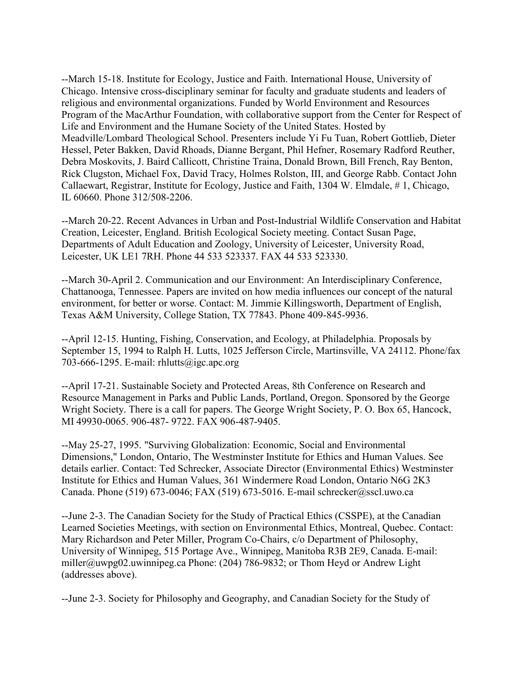--March 15-18. Institute for Ecology, Justice and Faith. International House, University of Chicago. Intensive cross-disciplinary seminar for faculty and graduate students and leaders of religious and environmental organizations. Funded by World Environment and Resources Program of the MacArthur Foundation, with collaborative support from the Center for Respect of Life and Environment and the Humane Society of the United States. Hosted by Meadville/Lombard Theological School. Presenters include Yi Fu Tuan, Robert Gottlieb, Dieter Hessel, Peter Bakken, David Rhoads, Dianne Bergant, Phil Hefner, Rosemary Radford Reuther, Debra Moskovits, J. Baird Callicott, Christine Traina, Donald Brown, Bill French, Ray Benton, Rick Clugston, Michael Fox, David Tracy, Holmes Rolston, III, and George Rabb. Contact John Callaewart, Registrar, Institute for Ecology, Justice and Faith, 1304 W. Elmdale, # 1, Chicago, IL 60660. Phone 312/508-2206.

--March 20-22. Recent Advances in Urban and Post-Industrial Wildlife Conservation and Habitat Creation, Leicester, England. British Ecological Society meeting. Contact Susan Page, Departments of Adult Education and Zoology, University of Leicester, University Road, Leicester, UK LE1 7RH. Phone 44 533 523337. FAX 44 533 523330.

--March 30-April 2. Communication and our Environment: An Interdisciplinary Conference, Chattanooga, Tennessee. Papers are invited on how media influences our concept of the natural environment, for better or worse. Contact: M. Jimmie Killingsworth, Department of English, Texas A&M University, College Station, TX 77843. Phone 409-845-9936.

--April 12-15. Hunting, Fishing, Conservation, and Ecology, at Philadelphia. Proposals by September 15, 1994 to Ralph H. Lutts, 1025 Jefferson Circle, Martinsville, VA 24112. Phone/fax 703-666-1295. E-mail: rhlutts@igc.apc.org

--April 17-21. Sustainable Society and Protected Areas, 8th Conference on Research and Resource Management in Parks and Public Lands, Portland, Oregon. Sponsored by the George Wright Society. There is a call for papers. The George Wright Society, P. O. Box 65, Hancock, MI 49930-0065. 906-487- 9722. FAX 906-487-9405.

--May 25-27, 1995. "Surviving Globalization: Economic, Social and Environmental Dimensions," London, Ontario, The Westminster Institute for Ethics and Human Values. See details earlier. Contact: Ted Schrecker, Associate Director (Environmental Ethics) Westminster Institute for Ethics and Human Values, 361 Windermere Road London, Ontario N6G 2K3 Canada. Phone (519) 673-0046; FAX (519) 673-5016. E-mail schrecker@sscl.uwo.ca

--June 2-3. The Canadian Society for the Study of Practical Ethics (CSSPE), at the Canadian Learned Societies Meetings, with section on Environmental Ethics, Montreal, Quebec. Contact: Mary Richardson and Peter Miller, Program Co-Chairs, c/o Department of Philosophy, University of Winnipeg, 515 Portage Ave., Winnipeg, Manitoba R3B 2E9, Canada. E-mail: miller@uwpg02.uwinnipeg.ca Phone: (204) 786-9832; or Thom Heyd or Andrew Light (addresses above).

--June 2-3. Society for Philosophy and Geography, and Canadian Society for the Study of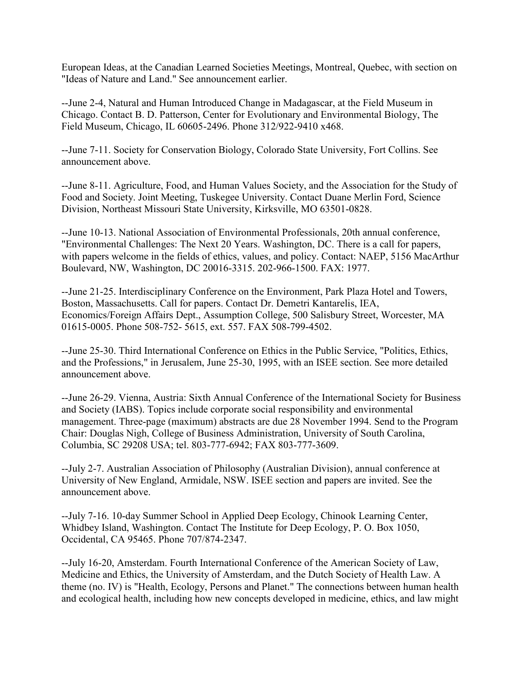European Ideas, at the Canadian Learned Societies Meetings, Montreal, Quebec, with section on "Ideas of Nature and Land." See announcement earlier.

--June 2-4, Natural and Human Introduced Change in Madagascar, at the Field Museum in Chicago. Contact B. D. Patterson, Center for Evolutionary and Environmental Biology, The Field Museum, Chicago, IL 60605-2496. Phone 312/922-9410 x468.

--June 7-11. Society for Conservation Biology, Colorado State University, Fort Collins. See announcement above.

--June 8-11. Agriculture, Food, and Human Values Society, and the Association for the Study of Food and Society. Joint Meeting, Tuskegee University. Contact Duane Merlin Ford, Science Division, Northeast Missouri State University, Kirksville, MO 63501-0828.

--June 10-13. National Association of Environmental Professionals, 20th annual conference, "Environmental Challenges: The Next 20 Years. Washington, DC. There is a call for papers, with papers welcome in the fields of ethics, values, and policy. Contact: NAEP, 5156 MacArthur Boulevard, NW, Washington, DC 20016-3315. 202-966-1500. FAX: 1977.

--June 21-25. Interdisciplinary Conference on the Environment, Park Plaza Hotel and Towers, Boston, Massachusetts. Call for papers. Contact Dr. Demetri Kantarelis, IEA, Economics/Foreign Affairs Dept., Assumption College, 500 Salisbury Street, Worcester, MA 01615-0005. Phone 508-752- 5615, ext. 557. FAX 508-799-4502.

--June 25-30. Third International Conference on Ethics in the Public Service, "Politics, Ethics, and the Professions," in Jerusalem, June 25-30, 1995, with an ISEE section. See more detailed announcement above.

--June 26-29. Vienna, Austria: Sixth Annual Conference of the International Society for Business and Society (IABS). Topics include corporate social responsibility and environmental management. Three-page (maximum) abstracts are due 28 November 1994. Send to the Program Chair: Douglas Nigh, College of Business Administration, University of South Carolina, Columbia, SC 29208 USA; tel. 803-777-6942; FAX 803-777-3609.

--July 2-7. Australian Association of Philosophy (Australian Division), annual conference at University of New England, Armidale, NSW. ISEE section and papers are invited. See the announcement above.

--July 7-16. 10-day Summer School in Applied Deep Ecology, Chinook Learning Center, Whidbey Island, Washington. Contact The Institute for Deep Ecology, P. O. Box 1050, Occidental, CA 95465. Phone 707/874-2347.

--July 16-20, Amsterdam. Fourth International Conference of the American Society of Law, Medicine and Ethics, the University of Amsterdam, and the Dutch Society of Health Law. A theme (no. IV) is "Health, Ecology, Persons and Planet." The connections between human health and ecological health, including how new concepts developed in medicine, ethics, and law might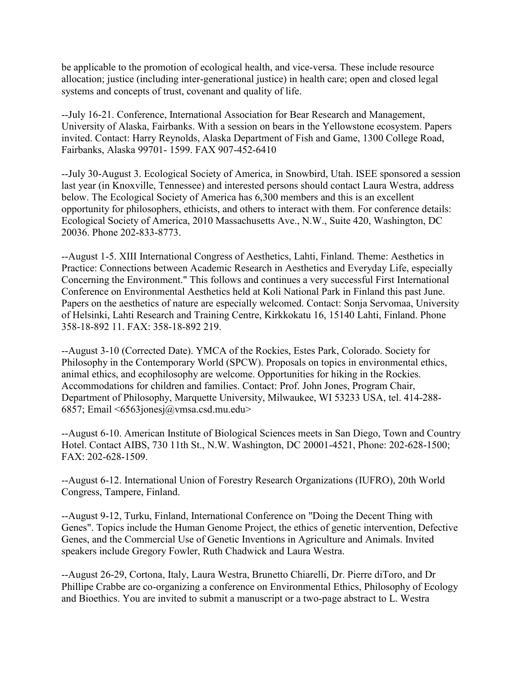be applicable to the promotion of ecological health, and vice-versa. These include resource allocation; justice (including inter-generational justice) in health care; open and closed legal systems and concepts of trust, covenant and quality of life.

--July 16-21. Conference, International Association for Bear Research and Management, University of Alaska, Fairbanks. With a session on bears in the Yellowstone ecosystem. Papers invited. Contact: Harry Reynolds, Alaska Department of Fish and Game, 1300 College Road, Fairbanks, Alaska 99701- 1599. FAX 907-452-6410

--July 30-August 3. Ecological Society of America, in Snowbird, Utah. ISEE sponsored a session last year (in Knoxville, Tennessee) and interested persons should contact Laura Westra, address below. The Ecological Society of America has 6,300 members and this is an excellent opportunity for philosophers, ethicists, and others to interact with them. For conference details: Ecological Society of America, 2010 Massachusetts Ave., N.W., Suite 420, Washington, DC 20036. Phone 202-833-8773.

--August 1-5. XIII International Congress of Aesthetics, Lahti, Finland. Theme: Aesthetics in Practice: Connections between Academic Research in Aesthetics and Everyday Life, especially Concerning the Environment." This follows and continues a very successful First International Conference on Environmental Aesthetics held at Koli National Park in Finland this past June. Papers on the aesthetics of nature are especially welcomed. Contact: Sonja Servomaa, University of Helsinki, Lahti Research and Training Centre, Kirkkokatu 16, 15140 Lahti, Finland. Phone 358-18-892 11. FAX: 358-18-892 219.

--August 3-10 (Corrected Date). YMCA of the Rockies, Estes Park, Colorado. Society for Philosophy in the Contemporary World (SPCW). Proposals on topics in environmental ethics, animal ethics, and ecophilosophy are welcome. Opportunities for hiking in the Rockies. Accommodations for children and families. Contact: Prof. John Jones, Program Chair, Department of Philosophy, Marquette University, Milwaukee, WI 53233 USA, tel. 414-288- 6857; Email <6563jonesj@vmsa.csd.mu.edu>

--August 6-10. American Institute of Biological Sciences meets in San Diego, Town and Country Hotel. Contact AIBS, 730 11th St., N.W. Washington, DC 20001-4521, Phone: 202-628-1500; FAX: 202-628-1509.

--August 6-12. International Union of Forestry Research Organizations (IUFRO), 20th World Congress, Tampere, Finland.

--August 9-12, Turku, Finland, International Conference on "Doing the Decent Thing with Genes". Topics include the Human Genome Project, the ethics of genetic intervention, Defective Genes, and the Commercial Use of Genetic Inventions in Agriculture and Animals. Invited speakers include Gregory Fowler, Ruth Chadwick and Laura Westra.

--August 26-29, Cortona, Italy, Laura Westra, Brunetto Chiarelli, Dr. Pierre diToro, and Dr Phillipe Crabbe are co-organizing a conference on Environmental Ethics, Philosophy of Ecology and Bioethics. You are invited to submit a manuscript or a two-page abstract to L. Westra